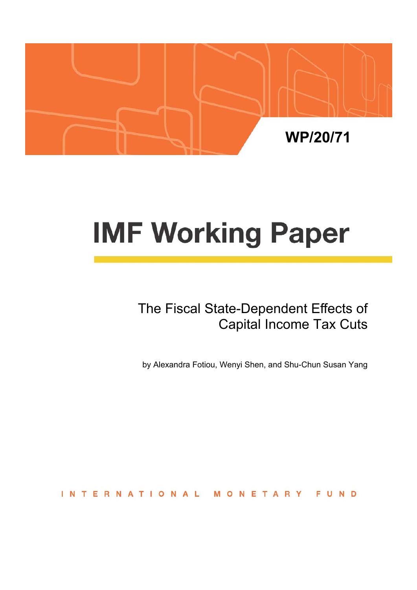

# **IMF Working Paper**

# The Fiscal State-Dependent Effects of Capital Income Tax Cuts

by Alexandra Fotiou, Wenyi Shen, and Shu-Chun Susan Yang

**INTERNATIONAL** MONETARY FUND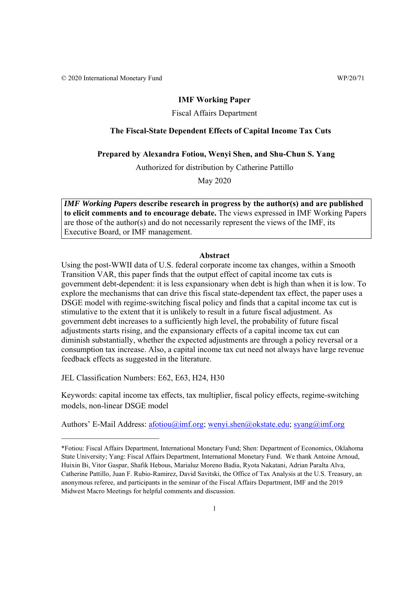© 2020 International Monetary Fund WP/20/71

#### **IMF Working Paper**

## Fiscal Affairs Department

# **The Fiscal-State Dependent Effects of Capital Income Tax Cuts**

## **Prepared by Alexandra Fotiou, Wenyi Shen, and Shu-Chun S. Yang**

Authorized for distribution by Catherine Pattillo

May 2020

*IMF Working Papers* **describe research in progress by the author(s) and are published to elicit comments and to encourage debate.** The views expressed in IMF Working Papers are those of the author(s) and do not necessarily represent the views of the IMF, its Executive Board, or IMF management.

#### **Abstract**

Using the post-WWII data of U.S. federal corporate income tax changes, within a Smooth Transition VAR, this paper finds that the output effect of capital income tax cuts is government debt-dependent: it is less expansionary when debt is high than when it is low. To explore the mechanisms that can drive this fiscal state-dependent tax effect, the paper uses a DSGE model with regime-switching fiscal policy and finds that a capital income tax cut is stimulative to the extent that it is unlikely to result in a future fiscal adjustment. As government debt increases to a sufficiently high level, the probability of future fiscal adjustments starts rising, and the expansionary effects of a capital income tax cut can diminish substantially, whether the expected adjustments are through a policy reversal or a consumption tax increase. Also, a capital income tax cut need not always have large revenue feedback effects as suggested in the literature.

JEL Classification Numbers: E62, E63, H24, H30

\_\_\_\_\_\_\_\_\_\_\_\_\_\_\_\_\_\_\_\_\_\_\_\_

Keywords: capital income tax effects, tax multiplier, fiscal policy effects, regime-switching models, non-linear DSGE model

Authors' E-Mail Address: afotiou@imf.org; wenyi.shen@okstate.edu; syang@imf.org

<sup>\*</sup>Fotiou: Fiscal Affairs Department, International Monetary Fund; Shen: Department of Economics, Oklahoma State University; Yang: Fiscal Affairs Department, International Monetary Fund. We thank Antoine Arnoud, Huixin Bi, Vitor Gaspar, Shafik Hebous, Marialuz Moreno Badia, Ryota Nakatani, Adrian Paralta Alva, Catherine Pattillo, Juan F. Rubio-Ramirez, David Savitski, the Office of Tax Analysis at the U.S. Treasury, an anonymous referee, and participants in the seminar of the Fiscal Affairs Department, IMF and the 2019 Midwest Macro Meetings for helpful comments and discussion.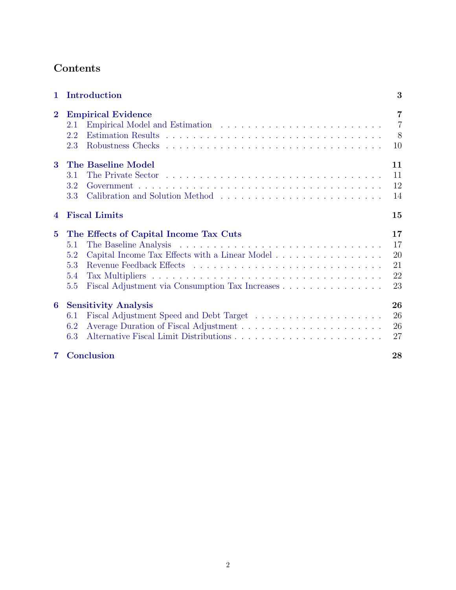# Contents

| $\mathbf{1}$     | Introduction                                                                                                                                                                   | 3                                           |  |
|------------------|--------------------------------------------------------------------------------------------------------------------------------------------------------------------------------|---------------------------------------------|--|
| $\bf{2}$         | <b>Empirical Evidence</b><br>2.1<br>2.2<br>2.3                                                                                                                                 | $\overline{7}$<br>$\overline{7}$<br>8<br>10 |  |
| 3                | The Baseline Model<br>3.1<br>3.2<br>3.3                                                                                                                                        | 11<br>11<br>12<br>14                        |  |
| $\boldsymbol{4}$ | <b>Fiscal Limits</b><br>15                                                                                                                                                     |                                             |  |
| $5^{\circ}$      | The Effects of Capital Income Tax Cuts<br>5.1<br>Capital Income Tax Effects with a Linear Model<br>5.2<br>5.3<br>5.4<br>Fiscal Adjustment via Consumption Tax Increases<br>5.5 | 17<br>17<br>20<br>21<br>22<br>23            |  |
| $6^{\circ}$      | <b>Sensitivity Analysis</b><br>6.1<br>6.2<br>6.3                                                                                                                               | 26<br>26<br>26<br>27                        |  |
| 7                | Conclusion                                                                                                                                                                     | 28                                          |  |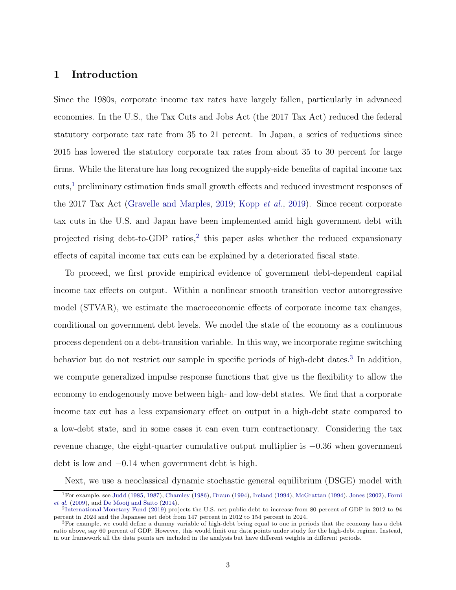# 1 Introduction

Since the 1980s, corporate income tax rates have largely fallen, particularly in advanced economies. In the U.S., the Tax Cuts and Jobs Act (the 2017 Tax Act) reduced the federal statutory corporate tax rate from 35 to 21 percent. In Japan, a series of reductions since 2015 has lowered the statutory corporate tax rates from about 35 to 30 percent for large firms. While the literature has long recognized the supply-side benefits of capital income tax cuts,<sup>1</sup> preliminary estimation finds small growth effects and reduced investment responses of the 2017 Tax Act (Gravelle and Marples, 2019; Kopp et al., 2019). Since recent corporate tax cuts in the U.S. and Japan have been implemented amid high government debt with projected rising debt-to-GDP ratios,<sup>2</sup> this paper asks whether the reduced expansionary effects of capital income tax cuts can be explained by a deteriorated fiscal state.

To proceed, we first provide empirical evidence of government debt-dependent capital income tax effects on output. Within a nonlinear smooth transition vector autoregressive model (STVAR), we estimate the macroeconomic effects of corporate income tax changes, conditional on government debt levels. We model the state of the economy as a continuous process dependent on a debt-transition variable. In this way, we incorporate regime switching behavior but do not restrict our sample in specific periods of high-debt dates.<sup>3</sup> In addition, we compute generalized impulse response functions that give us the flexibility to allow the economy to endogenously move between high- and low-debt states. We find that a corporate income tax cut has a less expansionary effect on output in a high-debt state compared to a low-debt state, and in some cases it can even turn contractionary. Considering the tax revenue change, the eight-quarter cumulative output multiplier is −0.36 when government debt is low and −0.14 when government debt is high.

Next, we use a neoclassical dynamic stochastic general equilibrium (DSGE) model with

<sup>1</sup>For example, see Judd (1985, 1987), Chamley (1986), Braun (1994), Ireland (1994), McGrattan (1994), Jones (2002), Forni et al. (2009), and De Mooij and Saito (2014).

<sup>2</sup>International Monetary Fund (2019) projects the U.S. net public debt to increase from 80 percent of GDP in 2012 to 94 percent in 2024 and the Japanese net debt from 147 percent in 2012 to 154 percent in 2024.

<sup>3</sup>For example, we could define a dummy variable of high-debt being equal to one in periods that the economy has a debt ratio above, say 60 percent of GDP. However, this would limit our data points under study for the high-debt regime. Instead, in our framework all the data points are included in the analysis but have different weights in different periods.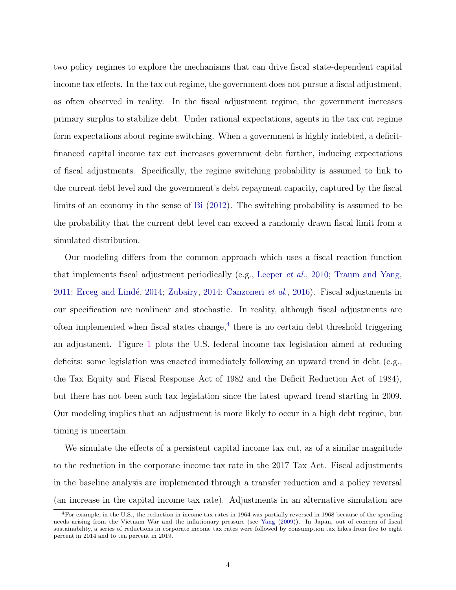two policy regimes to explore the mechanisms that can drive fiscal state-dependent capital income tax effects. In the tax cut regime, the government does not pursue a fiscal adjustment, as often observed in reality. In the fiscal adjustment regime, the government increases primary surplus to stabilize debt. Under rational expectations, agents in the tax cut regime form expectations about regime switching. When a government is highly indebted, a deficitfinanced capital income tax cut increases government debt further, inducing expectations of fiscal adjustments. Specifically, the regime switching probability is assumed to link to the current debt level and the government's debt repayment capacity, captured by the fiscal limits of an economy in the sense of Bi (2012). The switching probability is assumed to be the probability that the current debt level can exceed a randomly drawn fiscal limit from a simulated distribution.

Our modeling differs from the common approach which uses a fiscal reaction function that implements fiscal adjustment periodically (e.g., Leeper *et al.*, 2010; Traum and Yang, 2011; Erceg and Lindé, 2014; Zubairy, 2014; Canzoneri *et al.*, 2016). Fiscal adjustments in our specification are nonlinear and stochastic. In reality, although fiscal adjustments are often implemented when fiscal states change,<sup>4</sup> there is no certain debt threshold triggering an adjustment. Figure 1 plots the U.S. federal income tax legislation aimed at reducing deficits: some legislation was enacted immediately following an upward trend in debt (e.g., the Tax Equity and Fiscal Response Act of 1982 and the Deficit Reduction Act of 1984), but there has not been such tax legislation since the latest upward trend starting in 2009. Our modeling implies that an adjustment is more likely to occur in a high debt regime, but timing is uncertain.

We simulate the effects of a persistent capital income tax cut, as of a similar magnitude to the reduction in the corporate income tax rate in the 2017 Tax Act. Fiscal adjustments in the baseline analysis are implemented through a transfer reduction and a policy reversal (an increase in the capital income tax rate). Adjustments in an alternative simulation are

<sup>&</sup>lt;sup>4</sup>For example, in the U.S., the reduction in income tax rates in 1964 was partially reversed in 1968 because of the spending needs arising from the Vietnam War and the inflationary pressure (see Yang (2009)). In Japan, out of concern of fiscal sustainability, a series of reductions in corporate income tax rates were followed by consumption tax hikes from five to eight percent in 2014 and to ten percent in 2019.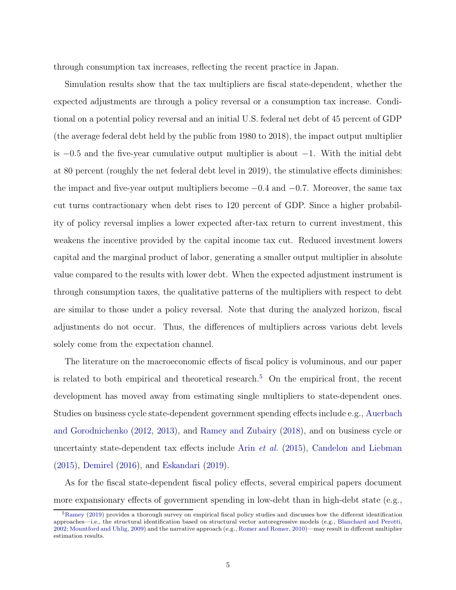through consumption tax increases, reflecting the recent practice in Japan.

Simulation results show that the tax multipliers are fiscal state-dependent, whether the expected adjustments are through a policy reversal or a consumption tax increase. Conditional on a potential policy reversal and an initial U.S. federal net debt of 45 percent of GDP (the average federal debt held by the public from 1980 to 2018), the impact output multiplier is  $-0.5$  and the five-year cumulative output multiplier is about  $-1$ . With the initial debt at 80 percent (roughly the net federal debt level in 2019), the stimulative effects diminishes: the impact and five-year output multipliers become  $-0.4$  and  $-0.7$ . Moreover, the same tax cut turns contractionary when debt rises to 120 percent of GDP. Since a higher probability of policy reversal implies a lower expected after-tax return to current investment, this weakens the incentive provided by the capital income tax cut. Reduced investment lowers capital and the marginal product of labor, generating a smaller output multiplier in absolute value compared to the results with lower debt. When the expected adjustment instrument is through consumption taxes, the qualitative patterns of the multipliers with respect to debt are similar to those under a policy reversal. Note that during the analyzed horizon, fiscal adjustments do not occur. Thus, the differences of multipliers across various debt levels solely come from the expectation channel.

The literature on the macroeconomic effects of fiscal policy is voluminous, and our paper is related to both empirical and theoretical research.<sup>5</sup> On the empirical front, the recent development has moved away from estimating single multipliers to state-dependent ones. Studies on business cycle state-dependent government spending effects include e.g., Auerbach and Gorodnichenko (2012, 2013), and Ramey and Zubairy (2018), and on business cycle or uncertainty state-dependent tax effects include Arin *et al.* (2015), Candelon and Liebman (2015), Demirel (2016), and Eskandari (2019).

As for the fiscal state-dependent fiscal policy effects, several empirical papers document more expansionary effects of government spending in low-debt than in high-debt state (e.g.,

<sup>&</sup>lt;sup>5</sup>Ramey (2019) provides a thorough survey on empirical fiscal policy studies and discusses how the different identification approaches—i.e., the structural identification based on structural vector autoregressive models (e.g., Blanchard and Perotti, 2002; Mountford and Uhlig, 2009) and the narrative approach (e.g., Romer and Romer, 2010)—may result in different multiplier estimation results.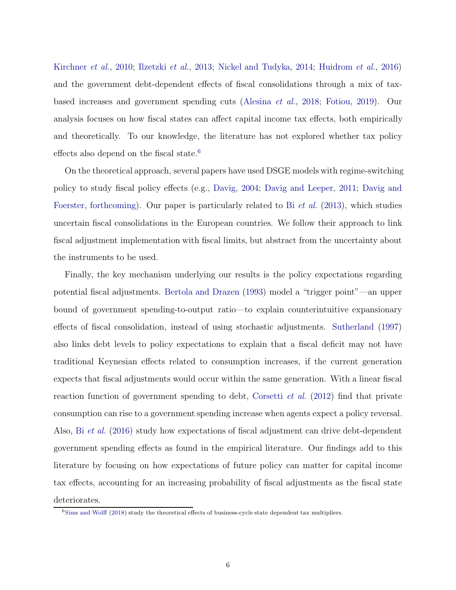Kirchner et al., 2010; Ilzetzki et al., 2013; Nickel and Tudyka, 2014; Huidrom et al., 2016) and the government debt-dependent effects of fiscal consolidations through a mix of taxbased increases and government spending cuts (Alesina et al., 2018; Fotiou, 2019). Our analysis focuses on how fiscal states can affect capital income tax effects, both empirically and theoretically. To our knowledge, the literature has not explored whether tax policy effects also depend on the fiscal state.<sup>6</sup>

On the theoretical approach, several papers have used DSGE models with regime-switching policy to study fiscal policy effects (e.g., Davig, 2004; Davig and Leeper, 2011; Davig and Foerster, forthcoming). Our paper is particularly related to Bi et al. (2013), which studies uncertain fiscal consolidations in the European countries. We follow their approach to link fiscal adjustment implementation with fiscal limits, but abstract from the uncertainty about the instruments to be used.

Finally, the key mechanism underlying our results is the policy expectations regarding potential fiscal adjustments. Bertola and Drazen (1993) model a "trigger point"—an upper bound of government spending-to-output ratio—to explain counterintuitive expansionary effects of fiscal consolidation, instead of using stochastic adjustments. Sutherland (1997) also links debt levels to policy expectations to explain that a fiscal deficit may not have traditional Keynesian effects related to consumption increases, if the current generation expects that fiscal adjustments would occur within the same generation. With a linear fiscal reaction function of government spending to debt, Corsetti et al. (2012) find that private consumption can rise to a government spending increase when agents expect a policy reversal. Also, Bi et al. (2016) study how expectations of fiscal adjustment can drive debt-dependent government spending effects as found in the empirical literature. Our findings add to this literature by focusing on how expectations of future policy can matter for capital income tax effects, accounting for an increasing probability of fiscal adjustments as the fiscal state deteriorates.

<sup>&</sup>lt;sup>6</sup>Sims and Wolff (2018) study the theoretical effects of business-cycle state dependent tax multipliers.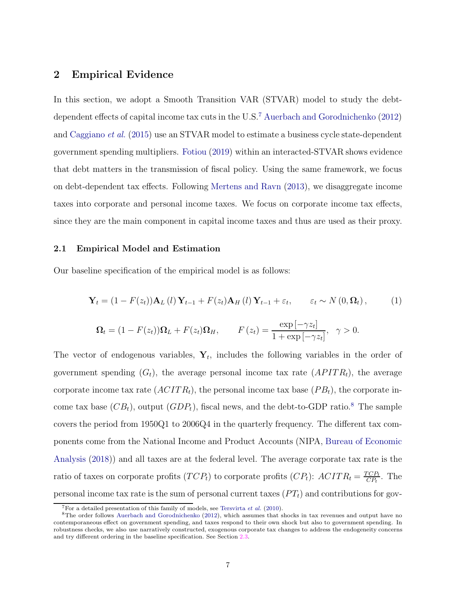# 2 Empirical Evidence

In this section, we adopt a Smooth Transition VAR (STVAR) model to study the debtdependent effects of capital income tax cuts in the U.S.<sup>7</sup> Auerbach and Gorodnichenko (2012) and Caggiano et al. (2015) use an STVAR model to estimate a business cycle state-dependent government spending multipliers. Fotiou (2019) within an interacted-STVAR shows evidence that debt matters in the transmission of fiscal policy. Using the same framework, we focus on debt-dependent tax effects. Following Mertens and Ravn (2013), we disaggregate income taxes into corporate and personal income taxes. We focus on corporate income tax effects, since they are the main component in capital income taxes and thus are used as their proxy.

#### 2.1 Empirical Model and Estimation

Our baseline specification of the empirical model is as follows:

$$
\mathbf{Y}_{t} = (1 - F(z_{t}))\mathbf{A}_{L}(l)\mathbf{Y}_{t-1} + F(z_{t})\mathbf{A}_{H}(l)\mathbf{Y}_{t-1} + \varepsilon_{t}, \qquad \varepsilon_{t} \sim N(0, \Omega_{t}), \tag{1}
$$

$$
\Omega_t = (1 - F(z_t))\Omega_L + F(z_t)\Omega_H, \qquad F(z_t) = \frac{\exp\left[-\gamma z_t\right]}{1 + \exp\left[-\gamma z_t\right]}, \quad \gamma > 0.
$$

The vector of endogenous variables,  $Y_t$ , includes the following variables in the order of government spending  $(G_t)$ , the average personal income tax rate  $(APITR_t)$ , the average corporate income tax rate  $(ACTTR<sub>t</sub>)$ , the personal income tax base  $(PB<sub>t</sub>)$ , the corporate income tax base  $(CB_t)$ , output  $(GDP_t)$ , fiscal news, and the debt-to-GDP ratio.<sup>8</sup> The sample covers the period from 1950Q1 to 2006Q4 in the quarterly frequency. The different tax components come from the National Income and Product Accounts (NIPA, Bureau of Economic Analysis (2018)) and all taxes are at the federal level. The average corporate tax rate is the ratio of taxes on corporate profits  $(TCP_t)$  to corporate profits  $(CP_t)$ :  $ACTR_t = \frac{TCP_t}{CP_t}$  $\frac{CP_t}{CP_t}$ . The personal income tax rate is the sum of personal current taxes  $(PT_t)$  and contributions for gov-

 $7$ For a detailed presentation of this family of models, see Tersvirta *et al.* (2010).

<sup>&</sup>lt;sup>8</sup>The order follows Auerbach and Gorodnichenko (2012), which assumes that shocks in tax revenues and output have no contemporaneous effect on government spending, and taxes respond to their own shock but also to government spending. In robustness checks, we also use narratively constructed, exogenous corporate tax changes to address the endogeneity concerns and try different ordering in the baseline specification. See Section 2.3.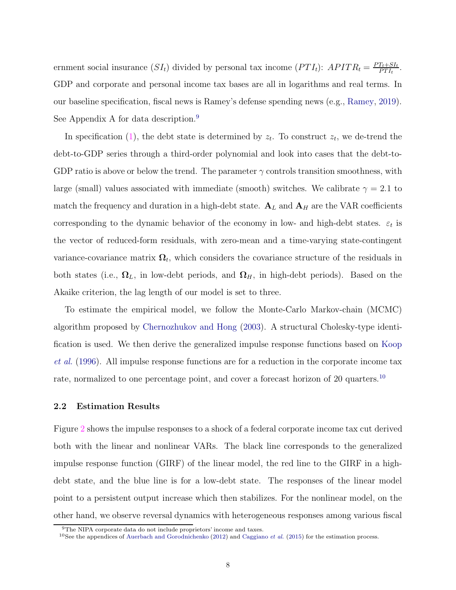ernment social insurance  $(SI_t)$  divided by personal tax income  $(PTI_t)$ :  $APITR_t = \frac{PT_t + SI_t}{PTt}$  $\frac{T_t + SI_t}{PT I_t}$ . GDP and corporate and personal income tax bases are all in logarithms and real terms. In our baseline specification, fiscal news is Ramey's defense spending news (e.g., Ramey, 2019). See Appendix A for data description.<sup>9</sup>

In specification (1), the debt state is determined by  $z_t$ . To construct  $z_t$ , we de-trend the debt-to-GDP series through a third-order polynomial and look into cases that the debt-to-GDP ratio is above or below the trend. The parameter  $\gamma$  controls transition smoothness, with large (small) values associated with immediate (smooth) switches. We calibrate  $\gamma = 2.1$  to match the frequency and duration in a high-debt state.  $A_L$  and  $A_H$  are the VAR coefficients corresponding to the dynamic behavior of the economy in low- and high-debt states.  $\varepsilon_t$  is the vector of reduced-form residuals, with zero-mean and a time-varying state-contingent variance-covariance matrix  $\Omega_t$ , which considers the covariance structure of the residuals in both states (i.e.,  $\Omega_L$ , in low-debt periods, and  $\Omega_H$ , in high-debt periods). Based on the Akaike criterion, the lag length of our model is set to three.

To estimate the empirical model, we follow the Monte-Carlo Markov-chain (MCMC) algorithm proposed by Chernozhukov and Hong (2003). A structural Cholesky-type identification is used. We then derive the generalized impulse response functions based on Koop et al. (1996). All impulse response functions are for a reduction in the corporate income tax rate, normalized to one percentage point, and cover a forecast horizon of 20 quarters.<sup>10</sup>

#### 2.2 Estimation Results

Figure 2 shows the impulse responses to a shock of a federal corporate income tax cut derived both with the linear and nonlinear VARs. The black line corresponds to the generalized impulse response function (GIRF) of the linear model, the red line to the GIRF in a highdebt state, and the blue line is for a low-debt state. The responses of the linear model point to a persistent output increase which then stabilizes. For the nonlinear model, on the other hand, we observe reversal dynamics with heterogeneous responses among various fiscal

<sup>9</sup>The NIPA corporate data do not include proprietors' income and taxes.

<sup>&</sup>lt;sup>10</sup>See the appendices of Auerbach and Gorodnichenko (2012) and Caggiano *et al.* (2015) for the estimation process.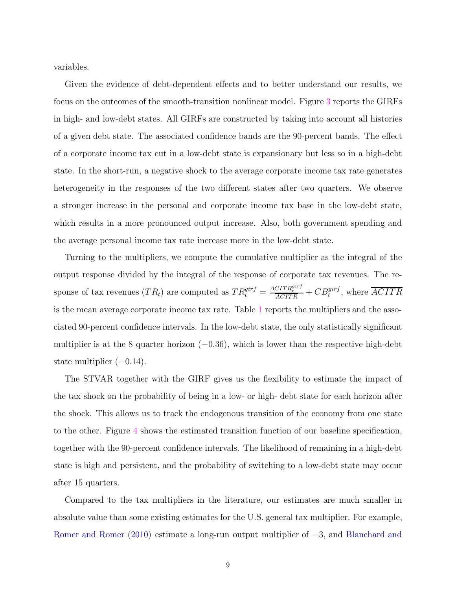variables.

Given the evidence of debt-dependent effects and to better understand our results, we focus on the outcomes of the smooth-transition nonlinear model. Figure 3 reports the GIRFs in high- and low-debt states. All GIRFs are constructed by taking into account all histories of a given debt state. The associated confidence bands are the 90-percent bands. The effect of a corporate income tax cut in a low-debt state is expansionary but less so in a high-debt state. In the short-run, a negative shock to the average corporate income tax rate generates heterogeneity in the responses of the two different states after two quarters. We observe a stronger increase in the personal and corporate income tax base in the low-debt state, which results in a more pronounced output increase. Also, both government spending and the average personal income tax rate increase more in the low-debt state.

Turning to the multipliers, we compute the cumulative multiplier as the integral of the output response divided by the integral of the response of corporate tax revenues. The response of tax revenues  $(TR_t)$  are computed as  $TR_t^{girf} = \frac{ACTTR_t^{girf}}{ACTTR} + CB_t^{girf}$ , where  $\overline{ACTTR}$ is the mean average corporate income tax rate. Table 1 reports the multipliers and the associated 90-percent confidence intervals. In the low-debt state, the only statistically significant multiplier is at the 8 quarter horizon  $(-0.36)$ , which is lower than the respective high-debt state multiplier  $(-0.14)$ .

The STVAR together with the GIRF gives us the flexibility to estimate the impact of the tax shock on the probability of being in a low- or high- debt state for each horizon after the shock. This allows us to track the endogenous transition of the economy from one state to the other. Figure 4 shows the estimated transition function of our baseline specification, together with the 90-percent confidence intervals. The likelihood of remaining in a high-debt state is high and persistent, and the probability of switching to a low-debt state may occur after 15 quarters.

Compared to the tax multipliers in the literature, our estimates are much smaller in absolute value than some existing estimates for the U.S. general tax multiplier. For example, Romer and Romer (2010) estimate a long-run output multiplier of −3, and Blanchard and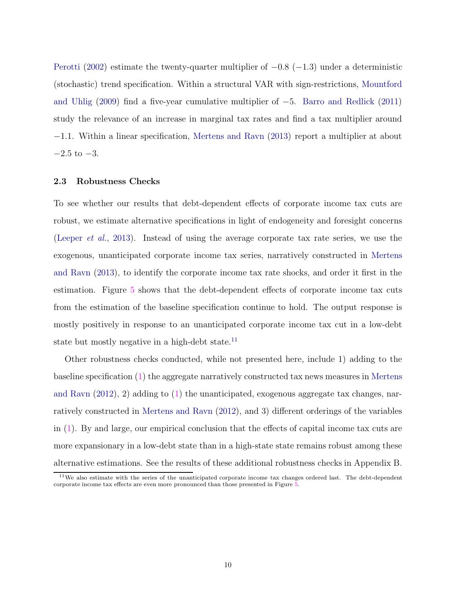Perotti (2002) estimate the twenty-quarter multiplier of  $-0.8$  ( $-1.3$ ) under a deterministic (stochastic) trend specification. Within a structural VAR with sign-restrictions, Mountford and Uhlig (2009) find a five-year cumulative multiplier of −5. Barro and Redlick (2011) study the relevance of an increase in marginal tax rates and find a tax multiplier around −1.1. Within a linear specification, Mertens and Ravn (2013) report a multiplier at about  $-2.5$  to  $-3$ .

#### 2.3 Robustness Checks

To see whether our results that debt-dependent effects of corporate income tax cuts are robust, we estimate alternative specifications in light of endogeneity and foresight concerns (Leeper et al., 2013). Instead of using the average corporate tax rate series, we use the exogenous, unanticipated corporate income tax series, narratively constructed in Mertens and Ravn (2013), to identify the corporate income tax rate shocks, and order it first in the estimation. Figure 5 shows that the debt-dependent effects of corporate income tax cuts from the estimation of the baseline specification continue to hold. The output response is mostly positively in response to an unanticipated corporate income tax cut in a low-debt state but mostly negative in a high-debt state.<sup>11</sup>

Other robustness checks conducted, while not presented here, include 1) adding to the baseline specification (1) the aggregate narratively constructed tax news measures in Mertens and Ravn  $(2012)$ , 2) adding to  $(1)$  the unanticipated, exogenous aggregate tax changes, narratively constructed in Mertens and Ravn (2012), and 3) different orderings of the variables in (1). By and large, our empirical conclusion that the effects of capital income tax cuts are more expansionary in a low-debt state than in a high-state state remains robust among these alternative estimations. See the results of these additional robustness checks in Appendix B.

<sup>11</sup>We also estimate with the series of the unanticipated corporate income tax changes ordered last. The debt-dependent corporate income tax effects are even more pronounced than those presented in Figure 5.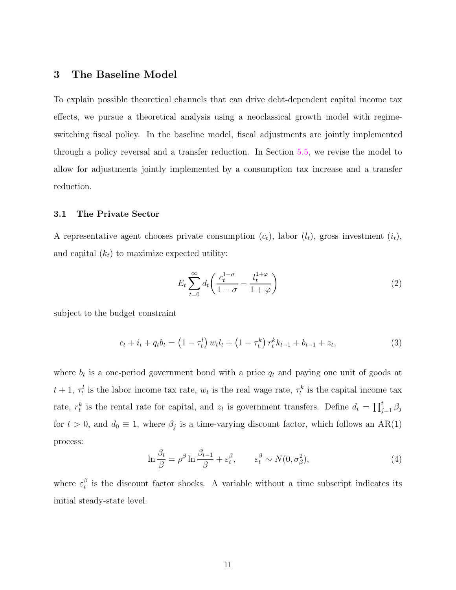# 3 The Baseline Model

To explain possible theoretical channels that can drive debt-dependent capital income tax effects, we pursue a theoretical analysis using a neoclassical growth model with regimeswitching fiscal policy. In the baseline model, fiscal adjustments are jointly implemented through a policy reversal and a transfer reduction. In Section 5.5, we revise the model to allow for adjustments jointly implemented by a consumption tax increase and a transfer reduction.

#### 3.1 The Private Sector

A representative agent chooses private consumption  $(c_t)$ , labor  $(l_t)$ , gross investment  $(i_t)$ , and capital  $(k<sub>t</sub>)$  to maximize expected utility:

$$
E_t \sum_{t=0}^{\infty} d_t \left( \frac{c_t^{1-\sigma}}{1-\sigma} - \frac{l_t^{1+\varphi}}{1+\varphi} \right) \tag{2}
$$

subject to the budget constraint

$$
c_t + i_t + q_t b_t = (1 - \tau_t^l) w_t l_t + (1 - \tau_t^k) r_t^k k_{t-1} + b_{t-1} + z_t,
$$
\n(3)

where  $b_t$  is a one-period government bond with a price  $q_t$  and paying one unit of goods at  $t + 1$ ,  $\tau_t^l$  is the labor income tax rate,  $w_t$  is the real wage rate,  $\tau_t^k$  is the capital income tax rate,  $r_t^k$  is the rental rate for capital, and  $z_t$  is government transfers. Define  $d_t = \prod_{j=1}^t \beta_j$ for  $t > 0$ , and  $d_0 \equiv 1$ , where  $\beta_j$  is a time-varying discount factor, which follows an AR(1) process:

$$
\ln \frac{\beta_t}{\beta} = \rho^{\beta} \ln \frac{\beta_{t-1}}{\beta} + \varepsilon_t^{\beta}, \qquad \varepsilon_t^{\beta} \sim N(0, \sigma_{\beta}^2), \tag{4}
$$

where  $\varepsilon_t^{\beta}$  $t<sub>t</sub><sup>\beta</sup>$  is the discount factor shocks. A variable without a time subscript indicates its initial steady-state level.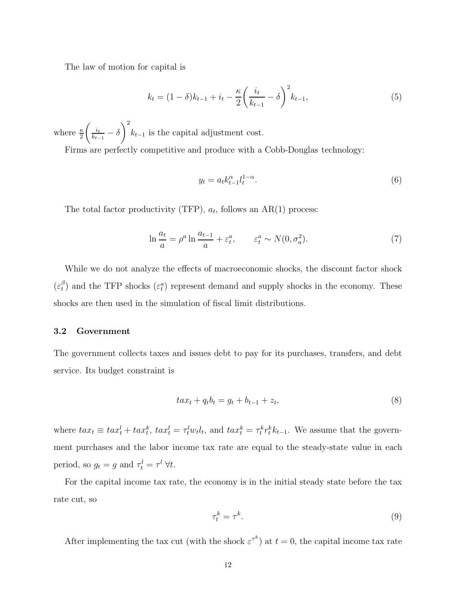The law of motion for capital is

$$
k_t = (1 - \delta)k_{t-1} + i_t - \frac{\kappa}{2} \left(\frac{i_t}{k_{t-1}} - \delta\right)^2 k_{t-1},
$$
\n(5)

where  $\frac{\kappa}{2}$  $\int_{-i_t}$  $\frac{i_t}{k_{t-1}} - \delta$  $\setminus^2$  $k_{t-1}$  is the capital adjustment cost.

Firms are perfectly competitive and produce with a Cobb-Douglas technology:

$$
y_t = a_t k_{t-1}^{\alpha} l_t^{1-\alpha}.
$$
\n
$$
(6)
$$

The total factor productivity (TFP),  $a_t$ , follows an AR(1) process:

$$
\ln \frac{a_t}{a} = \rho^a \ln \frac{a_{t-1}}{a} + \varepsilon_t^a, \qquad \varepsilon_t^a \sim N(0, \sigma_a^2). \tag{7}
$$

While we do not analyze the effects of macroeconomic shocks, the discount factor shock  $(\varepsilon_t^\beta$  $\binom{\beta}{t}$  and the TFP shocks  $(\varepsilon_t^a)$  represent demand and supply shocks in the economy. These shocks are then used in the simulation of fiscal limit distributions.

### 3.2 Government

The government collects taxes and issues debt to pay for its purchases, transfers, and debt service. Its budget constraint is

$$
tax_t + q_tb_t = g_t + b_{t-1} + z_t,
$$
\n(8)

where  $tax_t \equiv tax_t^l + tax_t^k$ ,  $tax_t^l = \tau_t^l w_t l_t$ , and  $tax_t^k = \tau_t^k r_t^k k_{t-1}$ . We assume that the government purchases and the labor income tax rate are equal to the steady-state value in each period, so  $g_t = g$  and  $\tau_t^l = \tau^l \,\forall t$ .

For the capital income tax rate, the economy is in the initial steady state before the tax rate cut, so

$$
\tau_t^k = \tau^k. \tag{9}
$$

After implementing the tax cut (with the shock  $\varepsilon^{\tau^k}$ ) at  $t=0$ , the capital income tax rate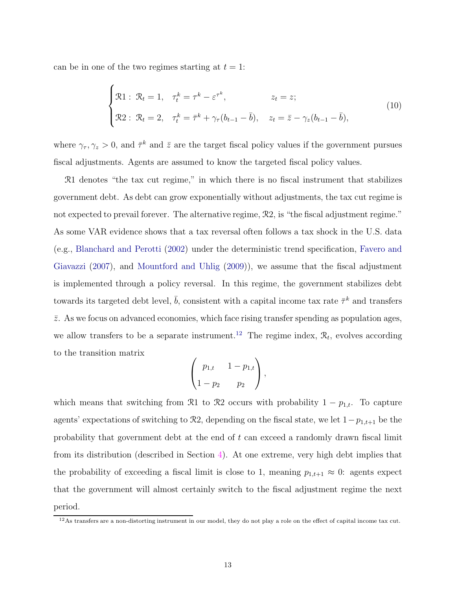can be in one of the two regimes starting at  $t = 1$ :

$$
\begin{cases}\n\mathfrak{R}1: \ \mathfrak{R}_t = 1, \quad \tau_t^k = \tau^k - \varepsilon^{\tau^k}, & z_t = z; \\
\mathfrak{R}2: \ \mathfrak{R}_t = 2, \quad \tau_t^k = \bar{\tau}^k + \gamma_\tau (b_{t-1} - \bar{b}), & z_t = \bar{z} - \gamma_z (b_{t-1} - \bar{b}),\n\end{cases} \tag{10}
$$

where  $\gamma_{\tau}, \gamma_z > 0$ , and  $\bar{\tau}^k$  and  $\bar{z}$  are the target fiscal policy values if the government pursues fiscal adjustments. Agents are assumed to know the targeted fiscal policy values.

R1 denotes "the tax cut regime," in which there is no fiscal instrument that stabilizes government debt. As debt can grow exponentially without adjustments, the tax cut regime is not expected to prevail forever. The alternative regime,  $\mathcal{R}2$ , is "the fiscal adjustment regime." As some VAR evidence shows that a tax reversal often follows a tax shock in the U.S. data (e.g., Blanchard and Perotti (2002) under the deterministic trend specification, Favero and Giavazzi (2007), and Mountford and Uhlig (2009)), we assume that the fiscal adjustment is implemented through a policy reversal. In this regime, the government stabilizes debt towards its targeted debt level,  $\bar{b}$ , consistent with a capital income tax rate  $\bar{\tau}^k$  and transfers  $\bar{z}$ . As we focus on advanced economies, which face rising transfer spending as population ages, we allow transfers to be a separate instrument.<sup>12</sup> The regime index,  $\mathcal{R}_t$ , evolves according to the transition matrix

$$
\begin{pmatrix} p_{1,t} & 1 - p_{1,t} \\ 1 - p_2 & p_2 \end{pmatrix},
$$

which means that switching from R1 to R2 occurs with probability  $1 - p_{1,t}$ . To capture agents' expectations of switching to  $\mathcal{R}2$ , depending on the fiscal state, we let  $1-p_{1,t+1}$  be the probability that government debt at the end of  $t$  can exceed a randomly drawn fiscal limit from its distribution (described in Section 4). At one extreme, very high debt implies that the probability of exceeding a fiscal limit is close to 1, meaning  $p_{1,t+1} \approx 0$ : agents expect that the government will almost certainly switch to the fiscal adjustment regime the next period.

<sup>&</sup>lt;sup>12</sup>As transfers are a non-distorting instrument in our model, they do not play a role on the effect of capital income tax cut.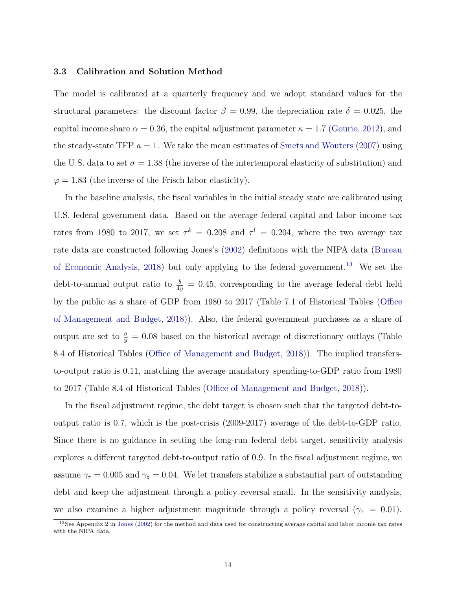#### 3.3 Calibration and Solution Method

The model is calibrated at a quarterly frequency and we adopt standard values for the structural parameters: the discount factor  $\beta = 0.99$ , the depreciation rate  $\delta = 0.025$ , the capital income share  $\alpha = 0.36$ , the capital adjustment parameter  $\kappa = 1.7$  (Gourio, 2012), and the steady-state TFP  $a = 1$ . We take the mean estimates of Smets and Wouters (2007) using the U.S. data to set  $\sigma = 1.38$  (the inverse of the intertemporal elasticity of substitution) and  $\varphi = 1.83$  (the inverse of the Frisch labor elasticity).

In the baseline analysis, the fiscal variables in the initial steady state are calibrated using U.S. federal government data. Based on the average federal capital and labor income tax rates from 1980 to 2017, we set  $\tau^k = 0.208$  and  $\tau^l = 0.204$ , where the two average tax rate data are constructed following Jones's (2002) definitions with the NIPA data (Bureau of Economic Analysis, 2018) but only applying to the federal government.<sup>13</sup> We set the debt-to-annual output ratio to  $\frac{b}{4y} = 0.45$ , corresponding to the average federal debt held by the public as a share of GDP from 1980 to 2017 (Table 7.1 of Historical Tables (Office of Management and Budget, 2018)). Also, the federal government purchases as a share of output are set to  $\frac{g}{y} = 0.08$  based on the historical average of discretionary outlays (Table 8.4 of Historical Tables (Office of Management and Budget, 2018)). The implied transfersto-output ratio is 0.11, matching the average mandatory spending-to-GDP ratio from 1980 to 2017 (Table 8.4 of Historical Tables (Office of Management and Budget, 2018)).

In the fiscal adjustment regime, the debt target is chosen such that the targeted debt-tooutput ratio is 0.7, which is the post-crisis (2009-2017) average of the debt-to-GDP ratio. Since there is no guidance in setting the long-run federal debt target, sensitivity analysis explores a different targeted debt-to-output ratio of 0.9. In the fiscal adjustment regime, we assume  $\gamma_{\tau} = 0.005$  and  $\gamma_z = 0.04$ . We let transfers stabilize a substantial part of outstanding debt and keep the adjustment through a policy reversal small. In the sensitivity analysis, we also examine a higher adjustment magnitude through a policy reversal ( $\gamma_{\tau} = 0.01$ ).

<sup>&</sup>lt;sup>13</sup>See Appendix 2 in Jones (2002) for the method and data used for constructing average capital and labor income tax rates with the NIPA data.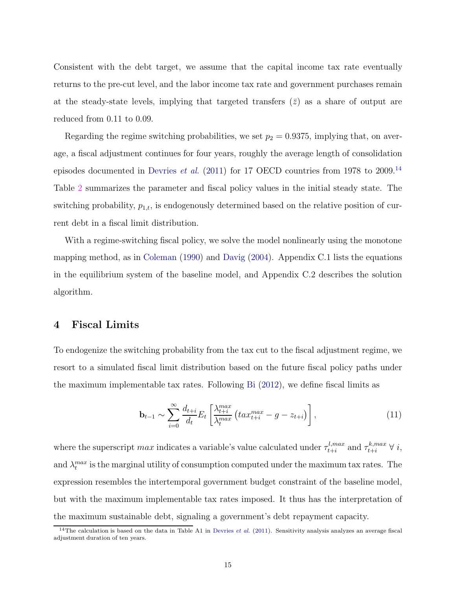Consistent with the debt target, we assume that the capital income tax rate eventually returns to the pre-cut level, and the labor income tax rate and government purchases remain at the steady-state levels, implying that targeted transfers  $(\bar{z})$  as a share of output are reduced from 0.11 to 0.09.

Regarding the regime switching probabilities, we set  $p_2 = 0.9375$ , implying that, on average, a fiscal adjustment continues for four years, roughly the average length of consolidation episodes documented in Devries *et al.* (2011) for 17 OECD countries from 1978 to 2009.<sup>14</sup> Table 2 summarizes the parameter and fiscal policy values in the initial steady state. The switching probability,  $p_{1,t}$ , is endogenously determined based on the relative position of current debt in a fiscal limit distribution.

With a regime-switching fiscal policy, we solve the model nonlinearly using the monotone mapping method, as in Coleman (1990) and Davig (2004). Appendix C.1 lists the equations in the equilibrium system of the baseline model, and Appendix C.2 describes the solution algorithm.

# 4 Fiscal Limits

To endogenize the switching probability from the tax cut to the fiscal adjustment regime, we resort to a simulated fiscal limit distribution based on the future fiscal policy paths under the maximum implementable tax rates. Following Bi (2012), we define fiscal limits as

$$
\mathbf{b}_{t-1} \sim \sum_{i=0}^{\infty} \frac{d_{t+i}}{d_t} E_t \left[ \frac{\lambda_{t+i}^{max}}{\lambda_t^{max}} \left( t a x_{t+i}^{max} - g - z_{t+i} \right) \right], \tag{11}
$$

where the superscript  $max$  indicates a variable's value calculated under  $\tau_{t+i}^{l,max}$  $t_{t+i}^{l,max}$  and  $\tau_{t+i}^{k,max}$   $\forall i$ , and  $\lambda_t^{max}$  is the marginal utility of consumption computed under the maximum tax rates. The expression resembles the intertemporal government budget constraint of the baseline model, but with the maximum implementable tax rates imposed. It thus has the interpretation of the maximum sustainable debt, signaling a government's debt repayment capacity.

<sup>&</sup>lt;sup>14</sup>The calculation is based on the data in Table A1 in Devries *et al.* (2011). Sensitivity analysis analyzes an average fiscal adjustment duration of ten years.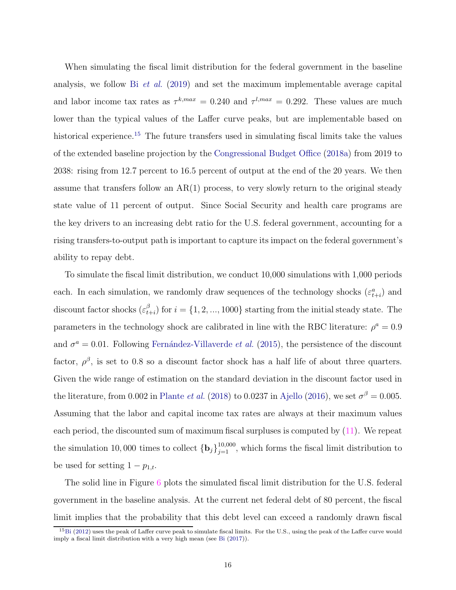When simulating the fiscal limit distribution for the federal government in the baseline analysis, we follow Bi *et al.* (2019) and set the maximum implementable average capital and labor income tax rates as  $\tau^{k,max} = 0.240$  and  $\tau^{l,max} = 0.292$ . These values are much lower than the typical values of the Laffer curve peaks, but are implementable based on historical experience.<sup>15</sup> The future transfers used in simulating fiscal limits take the values of the extended baseline projection by the Congressional Budget Office (2018a) from 2019 to 2038: rising from 12.7 percent to 16.5 percent of output at the end of the 20 years. We then assume that transfers follow an  $AR(1)$  process, to very slowly return to the original steady state value of 11 percent of output. Since Social Security and health care programs are the key drivers to an increasing debt ratio for the U.S. federal government, accounting for a rising transfers-to-output path is important to capture its impact on the federal government's ability to repay debt.

To simulate the fiscal limit distribution, we conduct 10,000 simulations with 1,000 periods each. In each simulation, we randomly draw sequences of the technology shocks  $(\varepsilon_{t+i}^a)$  and discount factor shocks  $(\varepsilon_t^{\beta})$  $t_{t+i}^{(p)}$  for  $i = \{1, 2, ..., 1000\}$  starting from the initial steady state. The parameters in the technology shock are calibrated in line with the RBC literature:  $\rho^a = 0.9$ and  $\sigma^a = 0.01$ . Following Fernández-Villaverde *et al.* (2015), the persistence of the discount factor,  $\rho^{\beta}$ , is set to 0.8 so a discount factor shock has a half life of about three quarters. Given the wide range of estimation on the standard deviation in the discount factor used in the literature, from 0.002 in Plante *et al.* (2018) to 0.0237 in Ajello (2016), we set  $\sigma^{\beta} = 0.005$ . Assuming that the labor and capital income tax rates are always at their maximum values each period, the discounted sum of maximum fiscal surpluses is computed by (11). We repeat the simulation 10,000 times to collect  ${\bf \{b_j\}}_{j=1}^{10,000}$ , which forms the fiscal limit distribution to be used for setting  $1 - p_{1,t}$ .

The solid line in Figure 6 plots the simulated fiscal limit distribution for the U.S. federal government in the baseline analysis. At the current net federal debt of 80 percent, the fiscal limit implies that the probability that this debt level can exceed a randomly drawn fiscal

<sup>15</sup>Bi (2012) uses the peak of Laffer curve peak to simulate fiscal limits. For the U.S., using the peak of the Laffer curve would imply a fiscal limit distribution with a very high mean (see Bi (2017)).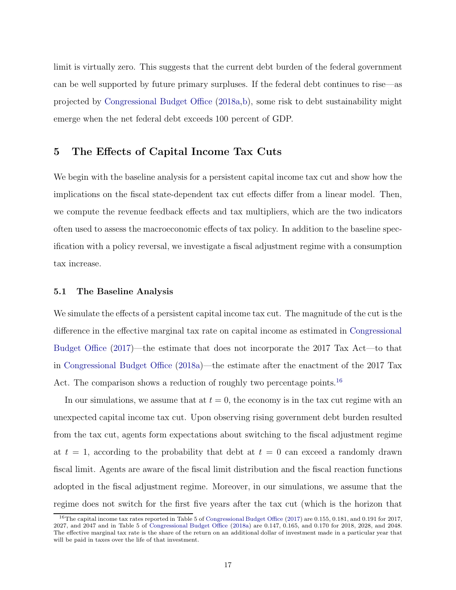limit is virtually zero. This suggests that the current debt burden of the federal government can be well supported by future primary surpluses. If the federal debt continues to rise—as projected by Congressional Budget Office (2018a,b), some risk to debt sustainability might emerge when the net federal debt exceeds 100 percent of GDP.

# 5 The Effects of Capital Income Tax Cuts

We begin with the baseline analysis for a persistent capital income tax cut and show how the implications on the fiscal state-dependent tax cut effects differ from a linear model. Then, we compute the revenue feedback effects and tax multipliers, which are the two indicators often used to assess the macroeconomic effects of tax policy. In addition to the baseline specification with a policy reversal, we investigate a fiscal adjustment regime with a consumption tax increase.

#### 5.1 The Baseline Analysis

We simulate the effects of a persistent capital income tax cut. The magnitude of the cut is the difference in the effective marginal tax rate on capital income as estimated in Congressional Budget Office (2017)—the estimate that does not incorporate the 2017 Tax Act—to that in Congressional Budget Office (2018a)—the estimate after the enactment of the 2017 Tax Act. The comparison shows a reduction of roughly two percentage points.<sup>16</sup>

In our simulations, we assume that at  $t = 0$ , the economy is in the tax cut regime with an unexpected capital income tax cut. Upon observing rising government debt burden resulted from the tax cut, agents form expectations about switching to the fiscal adjustment regime at  $t = 1$ , according to the probability that debt at  $t = 0$  can exceed a randomly drawn fiscal limit. Agents are aware of the fiscal limit distribution and the fiscal reaction functions adopted in the fiscal adjustment regime. Moreover, in our simulations, we assume that the regime does not switch for the first five years after the tax cut (which is the horizon that

<sup>16</sup>The capital income tax rates reported in Table 5 of Congressional Budget Office (2017) are 0.155, 0.181, and 0.191 for 2017, 2027, and 2047 and in Table 5 of Congressional Budget Office (2018a) are 0.147, 0.165, and 0.170 for 2018, 2028, and 2048. The effective marginal tax rate is the share of the return on an additional dollar of investment made in a particular year that will be paid in taxes over the life of that investment.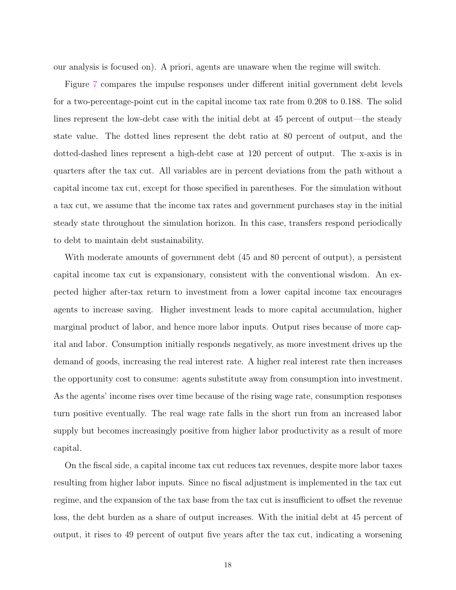our analysis is focused on). A priori, agents are unaware when the regime will switch.

Figure 7 compares the impulse responses under different initial government debt levels for a two-percentage-point cut in the capital income tax rate from 0.208 to 0.188. The solid lines represent the low-debt case with the initial debt at 45 percent of output—the steady state value. The dotted lines represent the debt ratio at 80 percent of output, and the dotted-dashed lines represent a high-debt case at 120 percent of output. The x-axis is in quarters after the tax cut. All variables are in percent deviations from the path without a capital income tax cut, except for those specified in parentheses. For the simulation without a tax cut, we assume that the income tax rates and government purchases stay in the initial steady state throughout the simulation horizon. In this case, transfers respond periodically to debt to maintain debt sustainability.

With moderate amounts of government debt (45 and 80 percent of output), a persistent capital income tax cut is expansionary, consistent with the conventional wisdom. An expected higher after-tax return to investment from a lower capital income tax encourages agents to increase saving. Higher investment leads to more capital accumulation, higher marginal product of labor, and hence more labor inputs. Output rises because of more capital and labor. Consumption initially responds negatively, as more investment drives up the demand of goods, increasing the real interest rate. A higher real interest rate then increases the opportunity cost to consume: agents substitute away from consumption into investment. As the agents' income rises over time because of the rising wage rate, consumption responses turn positive eventually. The real wage rate falls in the short run from an increased labor supply but becomes increasingly positive from higher labor productivity as a result of more capital.

On the fiscal side, a capital income tax cut reduces tax revenues, despite more labor taxes resulting from higher labor inputs. Since no fiscal adjustment is implemented in the tax cut regime, and the expansion of the tax base from the tax cut is insufficient to offset the revenue loss, the debt burden as a share of output increases. With the initial debt at 45 percent of output, it rises to 49 percent of output five years after the tax cut, indicating a worsening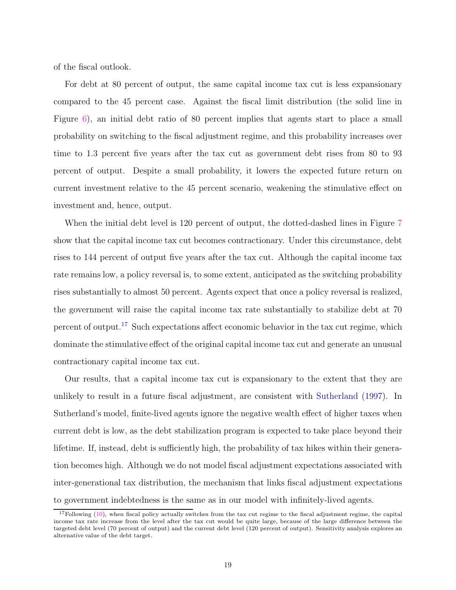of the fiscal outlook.

For debt at 80 percent of output, the same capital income tax cut is less expansionary compared to the 45 percent case. Against the fiscal limit distribution (the solid line in Figure 6), an initial debt ratio of 80 percent implies that agents start to place a small probability on switching to the fiscal adjustment regime, and this probability increases over time to 1.3 percent five years after the tax cut as government debt rises from 80 to 93 percent of output. Despite a small probability, it lowers the expected future return on current investment relative to the 45 percent scenario, weakening the stimulative effect on investment and, hence, output.

When the initial debt level is 120 percent of output, the dotted-dashed lines in Figure 7 show that the capital income tax cut becomes contractionary. Under this circumstance, debt rises to 144 percent of output five years after the tax cut. Although the capital income tax rate remains low, a policy reversal is, to some extent, anticipated as the switching probability rises substantially to almost 50 percent. Agents expect that once a policy reversal is realized, the government will raise the capital income tax rate substantially to stabilize debt at 70 percent of output.<sup>17</sup> Such expectations affect economic behavior in the tax cut regime, which dominate the stimulative effect of the original capital income tax cut and generate an unusual contractionary capital income tax cut.

Our results, that a capital income tax cut is expansionary to the extent that they are unlikely to result in a future fiscal adjustment, are consistent with Sutherland (1997). In Sutherland's model, finite-lived agents ignore the negative wealth effect of higher taxes when current debt is low, as the debt stabilization program is expected to take place beyond their lifetime. If, instead, debt is sufficiently high, the probability of tax hikes within their generation becomes high. Although we do not model fiscal adjustment expectations associated with inter-generational tax distribution, the mechanism that links fiscal adjustment expectations to government indebtedness is the same as in our model with infinitely-lived agents.

 $17$ Following (10), when fiscal policy actually switches from the tax cut regime to the fiscal adjustment regime, the capital income tax rate increase from the level after the tax cut would be quite large, because of the large difference between the targeted debt level (70 percent of output) and the current debt level (120 percent of output). Sensitivity analysis explores an alternative value of the debt target.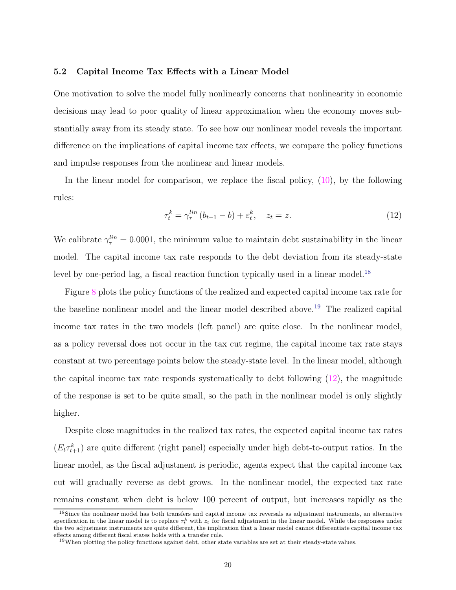#### 5.2 Capital Income Tax Effects with a Linear Model

One motivation to solve the model fully nonlinearly concerns that nonlinearity in economic decisions may lead to poor quality of linear approximation when the economy moves substantially away from its steady state. To see how our nonlinear model reveals the important difference on the implications of capital income tax effects, we compare the policy functions and impulse responses from the nonlinear and linear models.

In the linear model for comparison, we replace the fiscal policy, (10), by the following rules:

$$
\tau_t^k = \gamma_\tau^{lin} \left( b_{t-1} - b \right) + \varepsilon_t^k, \quad z_t = z. \tag{12}
$$

We calibrate  $\gamma_{\tau}^{lin} = 0.0001$ , the minimum value to maintain debt sustainability in the linear model. The capital income tax rate responds to the debt deviation from its steady-state level by one-period lag, a fiscal reaction function typically used in a linear model.<sup>18</sup>

Figure 8 plots the policy functions of the realized and expected capital income tax rate for the baseline nonlinear model and the linear model described above.<sup>19</sup> The realized capital income tax rates in the two models (left panel) are quite close. In the nonlinear model, as a policy reversal does not occur in the tax cut regime, the capital income tax rate stays constant at two percentage points below the steady-state level. In the linear model, although the capital income tax rate responds systematically to debt following  $(12)$ , the magnitude of the response is set to be quite small, so the path in the nonlinear model is only slightly higher.

Despite close magnitudes in the realized tax rates, the expected capital income tax rates  $(E_t \tau_{t+1}^k)$  are quite different (right panel) especially under high debt-to-output ratios. In the linear model, as the fiscal adjustment is periodic, agents expect that the capital income tax cut will gradually reverse as debt grows. In the nonlinear model, the expected tax rate remains constant when debt is below 100 percent of output, but increases rapidly as the

<sup>18</sup>Since the nonlinear model has both transfers and capital income tax reversals as adjustment instruments, an alternative specification in the linear model is to replace  $\tau_t^k$  with  $z_t$  for fiscal adjustment in the linear model. While the responses under the two adjustment instruments are quite different, the implication that a linear model cannot differentiate capital income tax effects among different fiscal states holds with a transfer rule.

<sup>19</sup>When plotting the policy functions against debt, other state variables are set at their steady-state values.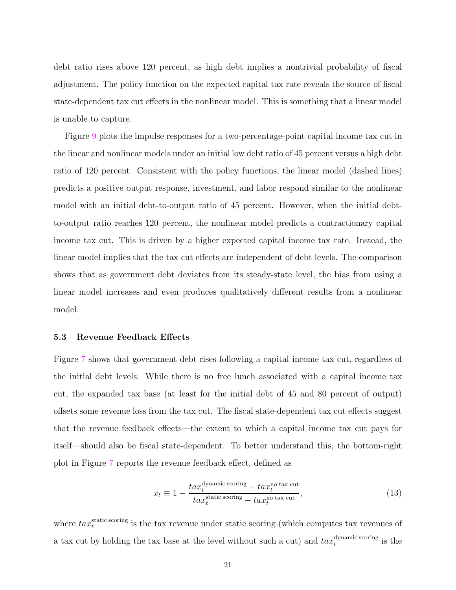debt ratio rises above 120 percent, as high debt implies a nontrivial probability of fiscal adjustment. The policy function on the expected capital tax rate reveals the source of fiscal state-dependent tax cut effects in the nonlinear model. This is something that a linear model is unable to capture.

Figure 9 plots the impulse responses for a two-percentage-point capital income tax cut in the linear and nonlinear models under an initial low debt ratio of 45 percent versus a high debt ratio of 120 percent. Consistent with the policy functions, the linear model (dashed lines) predicts a positive output response, investment, and labor respond similar to the nonlinear model with an initial debt-to-output ratio of 45 percent. However, when the initial debtto-output ratio reaches 120 percent, the nonlinear model predicts a contractionary capital income tax cut. This is driven by a higher expected capital income tax rate. Instead, the linear model implies that the tax cut effects are independent of debt levels. The comparison shows that as government debt deviates from its steady-state level, the bias from using a linear model increases and even produces qualitatively different results from a nonlinear model.

#### 5.3 Revenue Feedback Effects

Figure 7 shows that government debt rises following a capital income tax cut, regardless of the initial debt levels. While there is no free lunch associated with a capital income tax cut, the expanded tax base (at least for the initial debt of 45 and 80 percent of output) offsets some revenue loss from the tax cut. The fiscal state-dependent tax cut effects suggest that the revenue feedback effects—the extent to which a capital income tax cut pays for itself—should also be fiscal state-dependent. To better understand this, the bottom-right plot in Figure 7 reports the revenue feedback effect, defined as

$$
x_t \equiv 1 - \frac{tax_t^{\text{dynamic scoring}} - tax_t^{\text{no tax cut}}}{tax_t^{\text{static scoring}} - tax_t^{\text{no tax cut}}},\tag{13}
$$

where  $\textit{tax}_t^{\text{static scoring}}$  is the tax revenue under static scoring (which computes tax revenues of a tax cut by holding the tax base at the level without such a cut) and  $\textit{tax}_t^{\text{dynamic scoring}}$  is the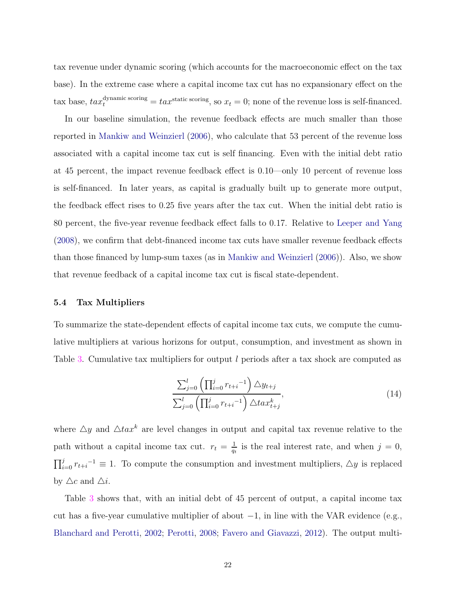tax revenue under dynamic scoring (which accounts for the macroeconomic effect on the tax base). In the extreme case where a capital income tax cut has no expansionary effect on the tax base,  $tax_t^{dynamic scoring} = tax_t^{static scoring}$ , so  $x_t = 0$ ; none of the revenue loss is self-financed.

In our baseline simulation, the revenue feedback effects are much smaller than those reported in Mankiw and Weinzierl (2006), who calculate that 53 percent of the revenue loss associated with a capital income tax cut is self financing. Even with the initial debt ratio at 45 percent, the impact revenue feedback effect is 0.10—only 10 percent of revenue loss is self-financed. In later years, as capital is gradually built up to generate more output, the feedback effect rises to 0.25 five years after the tax cut. When the initial debt ratio is 80 percent, the five-year revenue feedback effect falls to 0.17. Relative to Leeper and Yang (2008), we confirm that debt-financed income tax cuts have smaller revenue feedback effects than those financed by lump-sum taxes (as in Mankiw and Weinzierl (2006)). Also, we show that revenue feedback of a capital income tax cut is fiscal state-dependent.

#### 5.4 Tax Multipliers

To summarize the state-dependent effects of capital income tax cuts, we compute the cumulative multipliers at various horizons for output, consumption, and investment as shown in Table 3. Cumulative tax multipliers for output l periods after a tax shock are computed as

$$
\frac{\sum_{j=0}^{l} \left( \prod_{i=0}^{j} r_{t+i}^{-1} \right) \Delta y_{t+j}}{\sum_{j=0}^{l} \left( \prod_{i=0}^{j} r_{t+i}^{-1} \right) \Delta t a x_{t+j}^{k}},
$$
\n(14)

where  $\triangle y$  and  $\triangle tax^k$  are level changes in output and capital tax revenue relative to the path without a capital income tax cut.  $r_t = \frac{1}{a}$  $\frac{1}{q_t}$  is the real interest rate, and when  $j = 0$ ,  $\prod_{i=0}^{j} r_{t+i}^{-1} \equiv 1$ . To compute the consumption and investment multipliers,  $\Delta y$  is replaced by  $\triangle c$  and  $\triangle i$ .

Table 3 shows that, with an initial debt of 45 percent of output, a capital income tax cut has a five-year cumulative multiplier of about  $-1$ , in line with the VAR evidence (e.g., Blanchard and Perotti, 2002; Perotti, 2008; Favero and Giavazzi, 2012). The output multi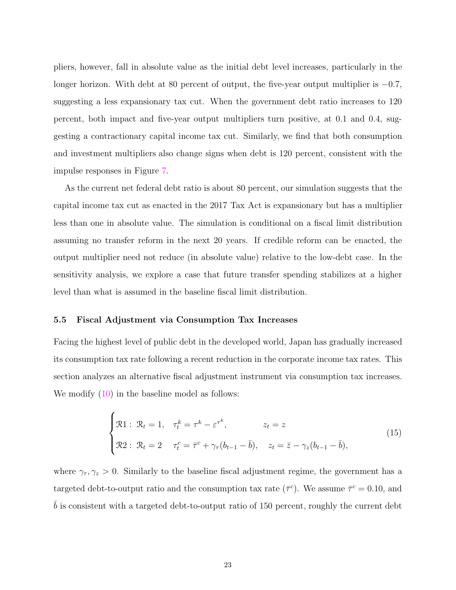pliers, however, fall in absolute value as the initial debt level increases, particularly in the longer horizon. With debt at 80 percent of output, the five-year output multiplier is −0.7, suggesting a less expansionary tax cut. When the government debt ratio increases to 120 percent, both impact and five-year output multipliers turn positive, at 0.1 and 0.4, suggesting a contractionary capital income tax cut. Similarly, we find that both consumption and investment multipliers also change signs when debt is 120 percent, consistent with the impulse responses in Figure 7.

As the current net federal debt ratio is about 80 percent, our simulation suggests that the capital income tax cut as enacted in the 2017 Tax Act is expansionary but has a multiplier less than one in absolute value. The simulation is conditional on a fiscal limit distribution assuming no transfer reform in the next 20 years. If credible reform can be enacted, the output multiplier need not reduce (in absolute value) relative to the low-debt case. In the sensitivity analysis, we explore a case that future transfer spending stabilizes at a higher level than what is assumed in the baseline fiscal limit distribution.

#### 5.5 Fiscal Adjustment via Consumption Tax Increases

Facing the highest level of public debt in the developed world, Japan has gradually increased its consumption tax rate following a recent reduction in the corporate income tax rates. This section analyzes an alternative fiscal adjustment instrument via consumption tax increases. We modify  $(10)$  in the baseline model as follows:

$$
\begin{cases}\n\mathfrak{R}1: \ \mathfrak{R}_t = 1, \quad \tau_t^k = \tau^k - \varepsilon^{\tau^k}, & z_t = z \\
\mathfrak{R}2: \ \mathfrak{R}_t = 2 \quad \tau_t^c = \bar{\tau}^c + \gamma_\tau (b_{t-1} - \bar{b}), & z_t = \bar{z} - \gamma_z (b_{t-1} - \bar{b}),\n\end{cases} (15)
$$

where  $\gamma_{\tau}, \gamma_z > 0$ . Similarly to the baseline fiscal adjustment regime, the government has a targeted debt-to-output ratio and the consumption tax rate  $(\bar{\tau}^c)$ . We assume  $\bar{\tau}^c = 0.10$ , and  $b$  is consistent with a targeted debt-to-output ratio of 150 percent, roughly the current debt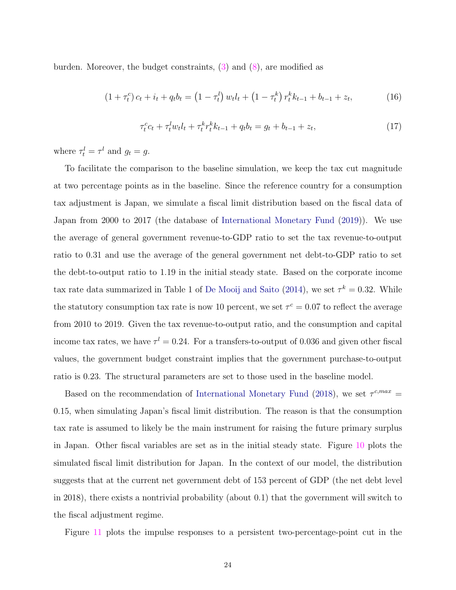burden. Moreover, the budget constraints,  $(3)$  and  $(8)$ , are modified as

$$
(1 + \tau_t^c) c_t + i_t + q_t b_t = (1 - \tau_t^l) w_t l_t + (1 - \tau_t^k) r_t^k k_{t-1} + b_{t-1} + z_t,
$$
\n(16)

$$
\tau_t^c c_t + \tau_t^l w_t l_t + \tau_t^k r_t^k k_{t-1} + q_t b_t = g_t + b_{t-1} + z_t,
$$
\n(17)

where  $\tau_t^l = \tau^l$  and  $g_t = g$ .

To facilitate the comparison to the baseline simulation, we keep the tax cut magnitude at two percentage points as in the baseline. Since the reference country for a consumption tax adjustment is Japan, we simulate a fiscal limit distribution based on the fiscal data of Japan from 2000 to 2017 (the database of International Monetary Fund (2019)). We use the average of general government revenue-to-GDP ratio to set the tax revenue-to-output ratio to 0.31 and use the average of the general government net debt-to-GDP ratio to set the debt-to-output ratio to 1.19 in the initial steady state. Based on the corporate income tax rate data summarized in Table 1 of De Mooij and Saito (2014), we set  $\tau^k = 0.32$ . While the statutory consumption tax rate is now 10 percent, we set  $\tau^c = 0.07$  to reflect the average from 2010 to 2019. Given the tax revenue-to-output ratio, and the consumption and capital income tax rates, we have  $\tau^l = 0.24$ . For a transfers-to-output of 0.036 and given other fiscal values, the government budget constraint implies that the government purchase-to-output ratio is 0.23. The structural parameters are set to those used in the baseline model.

Based on the recommendation of International Monetary Fund (2018), we set  $\tau^{c,max}$  = 0.15, when simulating Japan's fiscal limit distribution. The reason is that the consumption tax rate is assumed to likely be the main instrument for raising the future primary surplus in Japan. Other fiscal variables are set as in the initial steady state. Figure 10 plots the simulated fiscal limit distribution for Japan. In the context of our model, the distribution suggests that at the current net government debt of 153 percent of GDP (the net debt level in 2018), there exists a nontrivial probability (about 0.1) that the government will switch to the fiscal adjustment regime.

Figure 11 plots the impulse responses to a persistent two-percentage-point cut in the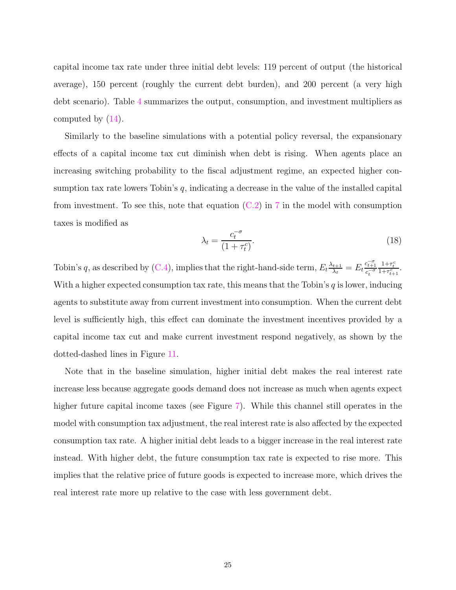capital income tax rate under three initial debt levels: 119 percent of output (the historical average), 150 percent (roughly the current debt burden), and 200 percent (a very high debt scenario). Table 4 summarizes the output, consumption, and investment multipliers as computed by (14).

Similarly to the baseline simulations with a potential policy reversal, the expansionary effects of a capital income tax cut diminish when debt is rising. When agents place an increasing switching probability to the fiscal adjustment regime, an expected higher consumption tax rate lowers Tobin's  $q$ , indicating a decrease in the value of the installed capital from investment. To see this, note that equation  $(C.2)$  in 7 in the model with consumption taxes is modified as

$$
\lambda_t = \frac{c_t^{-\sigma}}{(1 + \tau_t^c)}.\tag{18}
$$

Tobin's q, as described by (C.4), implies that the right-hand-side term,  $E_t \frac{\lambda_{t+1}}{\lambda_t}$  $\frac{t+1}{\lambda_t} = E_t \frac{c_{t+1}^{-\sigma}}{c_{\tau}^{-\sigma}}$  $c_t^{-\sigma}$  $\frac{1+\tau_t^c}{1+\tau_{t+1}^c}$ . With a higher expected consumption tax rate, this means that the Tobin's  $q$  is lower, inducing agents to substitute away from current investment into consumption. When the current debt level is sufficiently high, this effect can dominate the investment incentives provided by a capital income tax cut and make current investment respond negatively, as shown by the dotted-dashed lines in Figure 11.

Note that in the baseline simulation, higher initial debt makes the real interest rate increase less because aggregate goods demand does not increase as much when agents expect higher future capital income taxes (see Figure 7). While this channel still operates in the model with consumption tax adjustment, the real interest rate is also affected by the expected consumption tax rate. A higher initial debt leads to a bigger increase in the real interest rate instead. With higher debt, the future consumption tax rate is expected to rise more. This implies that the relative price of future goods is expected to increase more, which drives the real interest rate more up relative to the case with less government debt.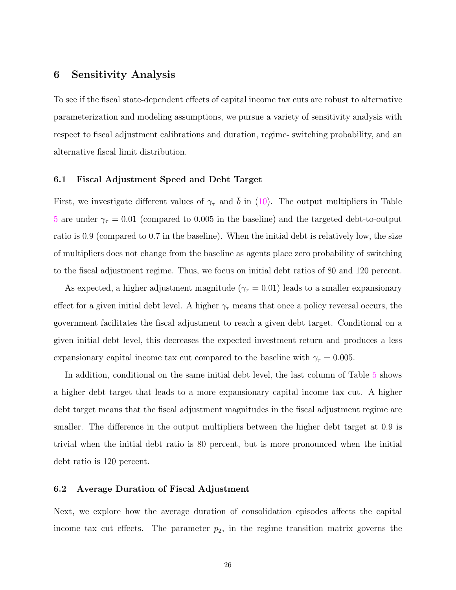# 6 Sensitivity Analysis

To see if the fiscal state-dependent effects of capital income tax cuts are robust to alternative parameterization and modeling assumptions, we pursue a variety of sensitivity analysis with respect to fiscal adjustment calibrations and duration, regime- switching probability, and an alternative fiscal limit distribution.

#### 6.1 Fiscal Adjustment Speed and Debt Target

First, we investigate different values of  $\gamma_{\tau}$  and b in (10). The output multipliers in Table 5 are under  $\gamma_{\tau} = 0.01$  (compared to 0.005 in the baseline) and the targeted debt-to-output ratio is 0.9 (compared to 0.7 in the baseline). When the initial debt is relatively low, the size of multipliers does not change from the baseline as agents place zero probability of switching to the fiscal adjustment regime. Thus, we focus on initial debt ratios of 80 and 120 percent.

As expected, a higher adjustment magnitude ( $\gamma_{\tau} = 0.01$ ) leads to a smaller expansionary effect for a given initial debt level. A higher  $\gamma_{\tau}$  means that once a policy reversal occurs, the government facilitates the fiscal adjustment to reach a given debt target. Conditional on a given initial debt level, this decreases the expected investment return and produces a less expansionary capital income tax cut compared to the baseline with  $\gamma_{\tau} = 0.005$ .

In addition, conditional on the same initial debt level, the last column of Table 5 shows a higher debt target that leads to a more expansionary capital income tax cut. A higher debt target means that the fiscal adjustment magnitudes in the fiscal adjustment regime are smaller. The difference in the output multipliers between the higher debt target at 0.9 is trivial when the initial debt ratio is 80 percent, but is more pronounced when the initial debt ratio is 120 percent.

#### 6.2 Average Duration of Fiscal Adjustment

Next, we explore how the average duration of consolidation episodes affects the capital income tax cut effects. The parameter  $p_2$ , in the regime transition matrix governs the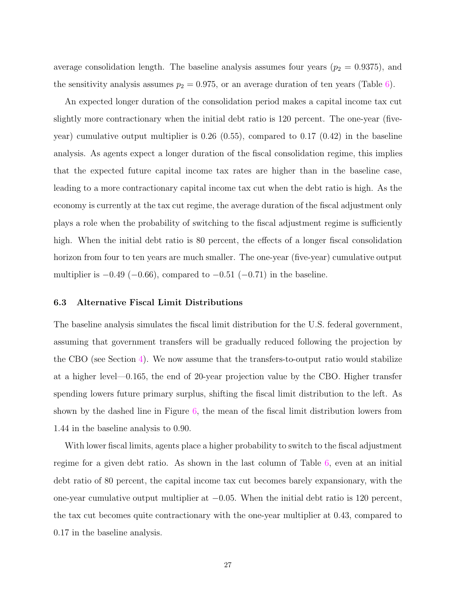average consolidation length. The baseline analysis assumes four years  $(p_2 = 0.9375)$ , and the sensitivity analysis assumes  $p_2 = 0.975$ , or an average duration of ten years (Table 6).

An expected longer duration of the consolidation period makes a capital income tax cut slightly more contractionary when the initial debt ratio is 120 percent. The one-year (fiveyear) cumulative output multiplier is  $0.26 \ (0.55)$ , compared to  $0.17 \ (0.42)$  in the baseline analysis. As agents expect a longer duration of the fiscal consolidation regime, this implies that the expected future capital income tax rates are higher than in the baseline case, leading to a more contractionary capital income tax cut when the debt ratio is high. As the economy is currently at the tax cut regime, the average duration of the fiscal adjustment only plays a role when the probability of switching to the fiscal adjustment regime is sufficiently high. When the initial debt ratio is 80 percent, the effects of a longer fiscal consolidation horizon from four to ten years are much smaller. The one-year (five-year) cumulative output multiplier is  $-0.49$  ( $-0.66$ ), compared to  $-0.51$  ( $-0.71$ ) in the baseline.

#### 6.3 Alternative Fiscal Limit Distributions

The baseline analysis simulates the fiscal limit distribution for the U.S. federal government, assuming that government transfers will be gradually reduced following the projection by the CBO (see Section 4). We now assume that the transfers-to-output ratio would stabilize at a higher level—0.165, the end of 20-year projection value by the CBO. Higher transfer spending lowers future primary surplus, shifting the fiscal limit distribution to the left. As shown by the dashed line in Figure 6, the mean of the fiscal limit distribution lowers from 1.44 in the baseline analysis to 0.90.

With lower fiscal limits, agents place a higher probability to switch to the fiscal adjustment regime for a given debt ratio. As shown in the last column of Table 6, even at an initial debt ratio of 80 percent, the capital income tax cut becomes barely expansionary, with the one-year cumulative output multiplier at  $-0.05$ . When the initial debt ratio is 120 percent, the tax cut becomes quite contractionary with the one-year multiplier at 0.43, compared to 0.17 in the baseline analysis.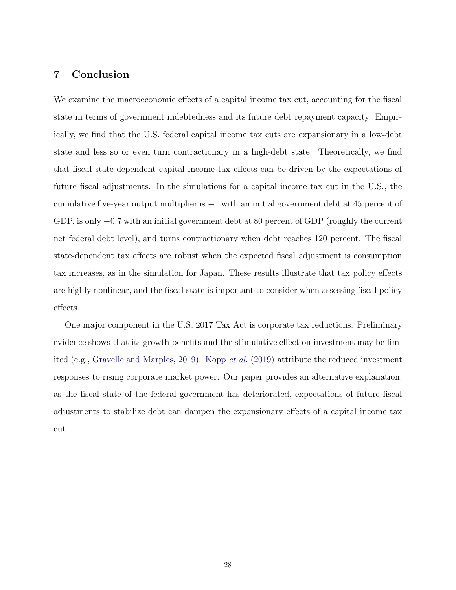# 7 Conclusion

We examine the macroeconomic effects of a capital income tax cut, accounting for the fiscal state in terms of government indebtedness and its future debt repayment capacity. Empirically, we find that the U.S. federal capital income tax cuts are expansionary in a low-debt state and less so or even turn contractionary in a high-debt state. Theoretically, we find that fiscal state-dependent capital income tax effects can be driven by the expectations of future fiscal adjustments. In the simulations for a capital income tax cut in the U.S., the cumulative five-year output multiplier is −1 with an initial government debt at 45 percent of GDP, is only −0.7 with an initial government debt at 80 percent of GDP (roughly the current net federal debt level), and turns contractionary when debt reaches 120 percent. The fiscal state-dependent tax effects are robust when the expected fiscal adjustment is consumption tax increases, as in the simulation for Japan. These results illustrate that tax policy effects are highly nonlinear, and the fiscal state is important to consider when assessing fiscal policy effects.

One major component in the U.S. 2017 Tax Act is corporate tax reductions. Preliminary evidence shows that its growth benefits and the stimulative effect on investment may be limited (e.g., Gravelle and Marples, 2019). Kopp et al. (2019) attribute the reduced investment responses to rising corporate market power. Our paper provides an alternative explanation: as the fiscal state of the federal government has deteriorated, expectations of future fiscal adjustments to stabilize debt can dampen the expansionary effects of a capital income tax cut.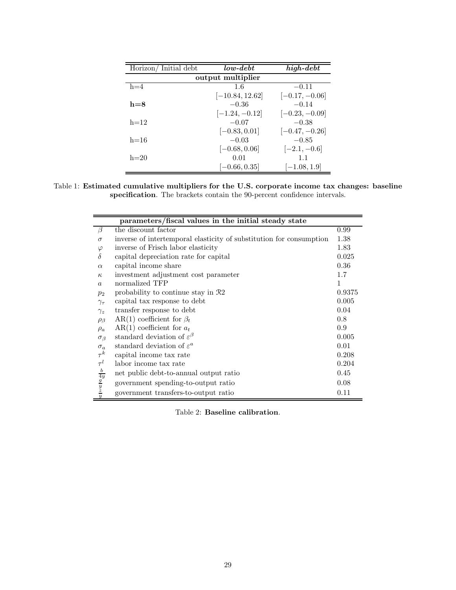| Horizon/Initial debt | $low-debt$        | $\overline{high\text{-}} debt$ |  |  |
|----------------------|-------------------|--------------------------------|--|--|
| output multiplier    |                   |                                |  |  |
| $h=4$                | 1.6               | $-0.11$                        |  |  |
|                      | $[-10.84, 12.62]$ | $[-0.17, -0.06]$               |  |  |
| $h = 8$              | $-0.36$           | $-0.14$                        |  |  |
|                      | $[-1.24, -0.12]$  | $[-0.23, -0.09]$               |  |  |
| $h=12$               | $-0.07$           | $-0.38$                        |  |  |
|                      | $[-0.83, 0.01]$   | $[-0.47, -0.26]$               |  |  |
| $h = 16$             | $-0.03$           | $-0.85$                        |  |  |
|                      | $[-0.68, 0.06]$   | $[-2.1, -0.6]$                 |  |  |
| $h=20$               | 0.01              | 1.1                            |  |  |
|                      | $[-0.66, 0.35]$   | $[-1.08, 1.9]$                 |  |  |

Table 1: Estimated cumulative multipliers for the U.S. corporate income tax changes: baseline specification. The brackets contain the 90-percent confidence intervals.

| parameters/fiscal values in the initial steady state |                                                                     |        |  |  |
|------------------------------------------------------|---------------------------------------------------------------------|--------|--|--|
| $\beta$                                              | the discount factor                                                 | 0.99   |  |  |
| $\sigma$                                             | inverse of intertemporal elasticity of substitution for consumption | 1.38   |  |  |
| $\varphi$                                            | inverse of Frisch labor elasticity                                  | 1.83   |  |  |
| $\delta$                                             | capital depreciation rate for capital                               | 0.025  |  |  |
| $\alpha$                                             | capital income share                                                | 0.36   |  |  |
| $\kappa$                                             | investment adjustment cost parameter                                | 1.7    |  |  |
| $\alpha$                                             | normalized TFP                                                      | 1      |  |  |
| $p_2$                                                | probability to continue stay in R2                                  | 0.9375 |  |  |
| $\gamma_{\tau}$                                      | capital tax response to debt                                        | 0.005  |  |  |
| $\gamma_z$                                           | transfer response to debt                                           | 0.04   |  |  |
| $\rho_{\beta}$                                       | AR(1) coefficient for $\beta_t$                                     | 0.8    |  |  |
| $\rho_a$                                             | AR(1) coefficient for $a_t$                                         | 0.9    |  |  |
| $\sigma_{\beta}$                                     | standard deviation of $\varepsilon^{\beta}$                         | 0.005  |  |  |
| $\sigma_a$                                           | standard deviation of $\varepsilon^a$                               | 0.01   |  |  |
| $\tau^k$                                             | capital income tax rate                                             | 0.208  |  |  |
| $\tau^l$                                             | labor income tax rate                                               | 0.204  |  |  |
|                                                      | net public debt-to-annual output ratio                              | 0.45   |  |  |
| $\frac{b}{4y}$ $\frac{g}{y}$ $\frac{z}{y}$           | government spending-to-output ratio                                 | 0.08   |  |  |
|                                                      | government transfers-to-output ratio                                | 0.11   |  |  |

Table 2: Baseline calibration.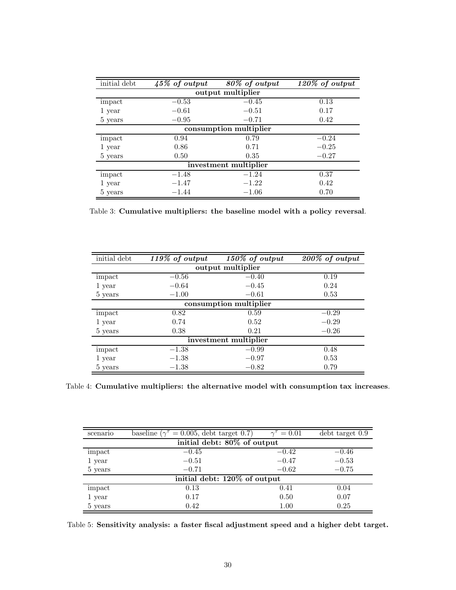| initial debt            | $45\%$ of output | 80% of output | 120% of output |  |  |
|-------------------------|------------------|---------------|----------------|--|--|
| output multiplier       |                  |               |                |  |  |
| impact                  | $-0.53$          | $-0.45$       | 0.13           |  |  |
| 1 year                  | $-0.61$          | $-0.51$       | 0.17           |  |  |
| 5 years                 | $-0.95$          | $-0.71$       | 0.42           |  |  |
| consumption multiplier  |                  |               |                |  |  |
| $\operatorname{impact}$ | 0.94             | 0.79          | $-0.24$        |  |  |
| 1 year                  | 0.86             | 0.71          | $-0.25$        |  |  |
| 5 years                 | 0.50             | 0.35          | $-0.27$        |  |  |
| investment multiplier   |                  |               |                |  |  |
| impact                  | $-1.48$          | $-1.24$       | 0.37           |  |  |
| 1 year                  | $-1.47$          | $-1.22$       | 0.42           |  |  |
| 5 years                 | $-1.44$          | $-1.06$       | 0.70           |  |  |

Table 3: Cumulative multipliers: the baseline model with a policy reversal.

| initial debt           | 119% of output | 150% of output | $\sqrt{200\%}$ of output |  |  |
|------------------------|----------------|----------------|--------------------------|--|--|
| output multiplier      |                |                |                          |  |  |
| impact                 | $-0.56$        | $-0.40$        | 0.19                     |  |  |
| 1 year                 | $-0.64$        | $-0.45$        | 0.24                     |  |  |
| 5 years                | $-1.00$        | $-0.61$        | 0.53                     |  |  |
| consumption multiplier |                |                |                          |  |  |
| impact                 | 0.82           | 0.59           | $-0.29$                  |  |  |
| 1 year                 | 0.74           | 0.52           | $-0.29$                  |  |  |
| 5 years                | 0.38           | 0.21           | $-0.26$                  |  |  |
| investment multiplier  |                |                |                          |  |  |
| impact                 | $-1.38$        | $-0.99$        | 0.48                     |  |  |
| 1 year                 | $-1.38$        | $-0.97$        | 0.53                     |  |  |
| 5 years                | $-1.38$        | $-0.82$        | 0.79                     |  |  |

Table 4: Cumulative multipliers: the alternative model with consumption tax increases.

| scenario                     | baseline ( $\gamma^{\tau} = 0.005$ , debt target 0.7) | $\gamma^{\tau} = 0.01$ | debt target 0.9 |  |
|------------------------------|-------------------------------------------------------|------------------------|-----------------|--|
| initial debt: 80% of output  |                                                       |                        |                 |  |
| impact                       | $-0.45$                                               | $-0.42$                | $-0.46$         |  |
| 1 year                       | $-0.51$                                               | $-0.47$                | $-0.53$         |  |
| 5 years                      | $-0.71$                                               | $-0.62$                | $-0.75$         |  |
| initial debt: 120% of output |                                                       |                        |                 |  |
| impact                       | 0.13                                                  | 0.41                   | 0.04            |  |
| 1 year                       | 0.17                                                  | 0.50                   | 0.07            |  |
| 5 years                      | 0.42                                                  | 1.00                   | 0.25            |  |

Table 5: Sensitivity analysis: a faster fiscal adjustment speed and a higher debt target.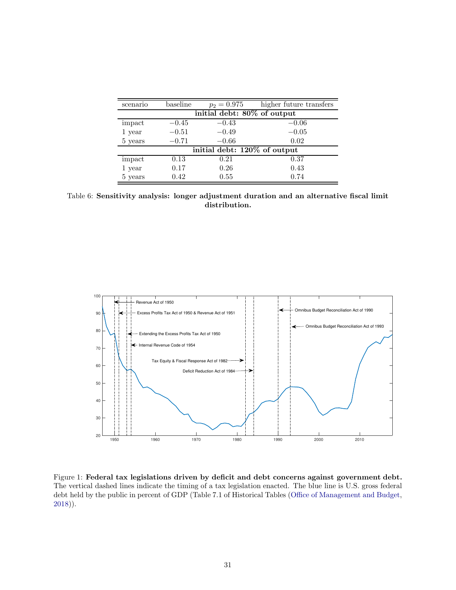| scenario                     | baseline | $p_2 = 0.975$ | higher future transfers |
|------------------------------|----------|---------------|-------------------------|
| initial debt: 80% of output  |          |               |                         |
| impact                       | $-0.45$  | $-0.43$       | $-0.06$                 |
| 1 year                       | $-0.51$  | $-0.49$       | $-0.05$                 |
| 5 years                      | $-0.71$  | $-0.66$       | 0.02                    |
| initial debt: 120% of output |          |               |                         |
| impact                       | 0.13     | 0.21          | 0.37                    |
| 1 year                       | 0.17     | 0.26          | 0.43                    |
| 5 years                      | 0.42     | 0.55          | 0.74                    |

Table 6: Sensitivity analysis: longer adjustment duration and an alternative fiscal limit distribution.



Figure 1: Federal tax legislations driven by deficit and debt concerns against government debt. The vertical dashed lines indicate the timing of a tax legislation enacted. The blue line is U.S. gross federal debt held by the public in percent of GDP (Table 7.1 of Historical Tables (Office of Management and Budget, 2018)).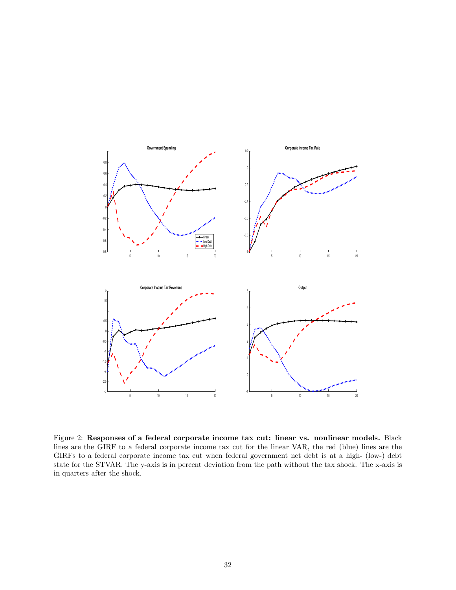

Figure 2: Responses of a federal corporate income tax cut: linear vs. nonlinear models. Black lines are the GIRF to a federal corporate income tax cut for the linear VAR, the red (blue) lines are the GIRFs to a federal corporate income tax cut when federal government net debt is at a high- (low-) debt state for the STVAR. The y-axis is in percent deviation from the path without the tax shock. The x-axis is in quarters after the shock.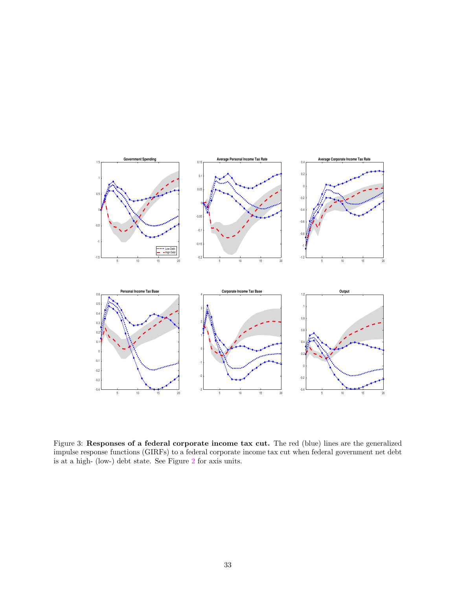

Figure 3: Responses of a federal corporate income tax cut. The red (blue) lines are the generalized impulse response functions (GIRFs) to a federal corporate income tax cut when federal government net debt is at a high- (low-) debt state. See Figure 2 for axis units.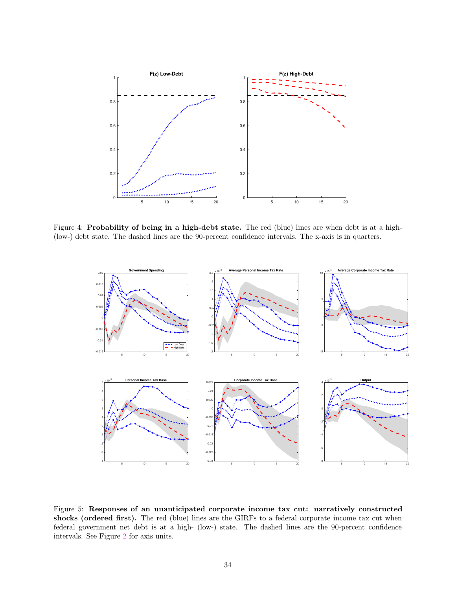

Figure 4: Probability of being in a high-debt state. The red (blue) lines are when debt is at a high- (low-) debt state. The dashed lines are the 90-percent confidence intervals. The x-axis is in quarters.



Figure 5: Responses of an unanticipated corporate income tax cut: narratively constructed shocks (ordered first). The red (blue) lines are the GIRFs to a federal corporate income tax cut when federal government net debt is at a high- (low-) state. The dashed lines are the 90-percent confidence intervals. See Figure 2 for axis units.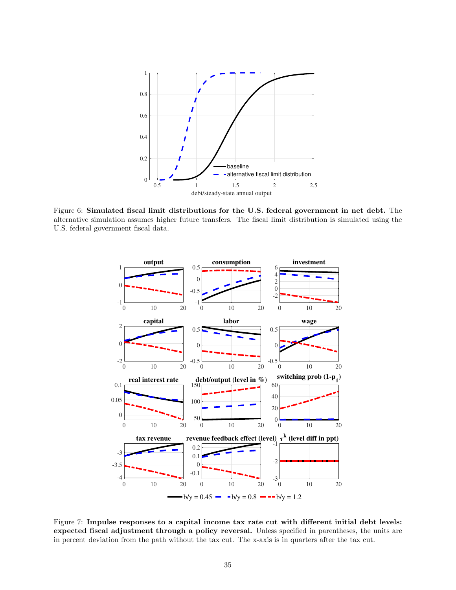

Figure 6: Simulated fiscal limit distributions for the U.S. federal government in net debt. The alternative simulation assumes higher future transfers. The fiscal limit distribution is simulated using the U.S. federal government fiscal data.



Figure 7: Impulse responses to a capital income tax rate cut with different initial debt levels: expected fiscal adjustment through a policy reversal. Unless specified in parentheses, the units are in percent deviation from the path without the tax cut. The x-axis is in quarters after the tax cut.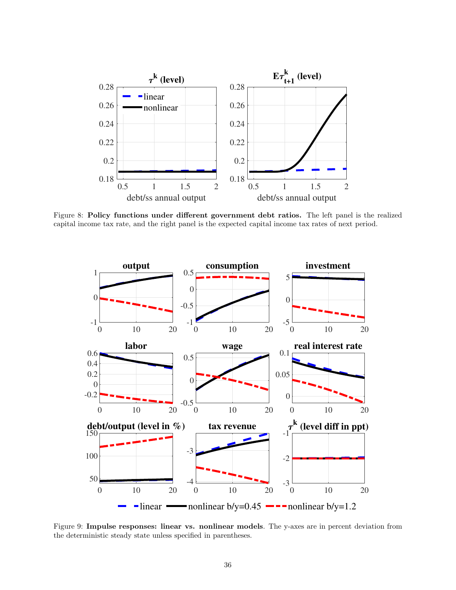

Figure 8: Policy functions under different government debt ratios. The left panel is the realized capital income tax rate, and the right panel is the expected capital income tax rates of next period.



Figure 9: Impulse responses: linear vs. nonlinear models. The y-axes are in percent deviation from the deterministic steady state unless specified in parentheses.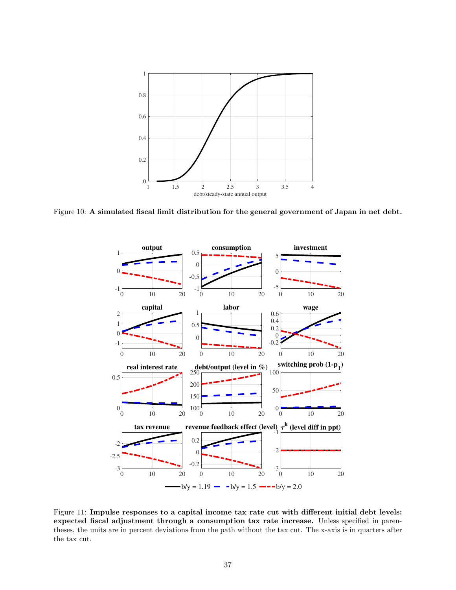

Figure 10: A simulated fiscal limit distribution for the general government of Japan in net debt.



Figure 11: Impulse responses to a capital income tax rate cut with different initial debt levels: expected fiscal adjustment through a consumption tax rate increase. Unless specified in parentheses, the units are in percent deviations from the path without the tax cut. The x-axis is in quarters after the tax cut.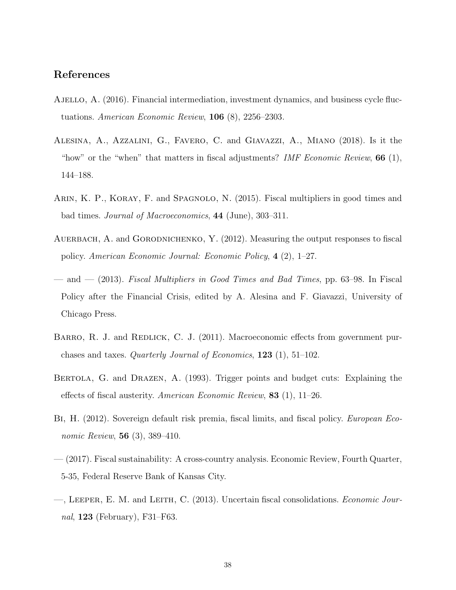# References

- Ajello, A. (2016). Financial intermediation, investment dynamics, and business cycle fluctuations. American Economic Review, 106 (8), 2256–2303.
- Alesina, A., Azzalini, G., Favero, C. and Giavazzi, A., Miano (2018). Is it the "how" or the "when" that matters in fiscal adjustments? IMF Economic Review,  $66$  (1), 144–188.
- Arin, K. P., Koray, F. and Spagnolo, N. (2015). Fiscal multipliers in good times and bad times. Journal of Macroeconomics, 44 (June), 303–311.
- AUERBACH, A. and GORODNICHENKO, Y. (2012). Measuring the output responses to fiscal policy. American Economic Journal: Economic Policy, 4 (2), 1–27.
- and  $(2013)$ . Fiscal Multipliers in Good Times and Bad Times, pp. 63–98. In Fiscal Policy after the Financial Crisis, edited by A. Alesina and F. Giavazzi, University of Chicago Press.
- BARRO, R. J. and REDLICK, C. J. (2011). Macroeconomic effects from government purchases and taxes. Quarterly Journal of Economics, 123 (1), 51–102.
- Bertola, G. and Drazen, A. (1993). Trigger points and budget cuts: Explaining the effects of fiscal austerity. American Economic Review,  $83$  (1), 11–26.
- Bi, H. (2012). Sovereign default risk premia, fiscal limits, and fiscal policy. European Economic Review, **56** (3), 389–410.
- (2017). Fiscal sustainability: A cross-country analysis. Economic Review, Fourth Quarter, 5-35, Federal Reserve Bank of Kansas City.
- —, Leeper, E. M. and Leith, C. (2013). Uncertain fiscal consolidations. Economic Journal, 123 (February), F31–F63.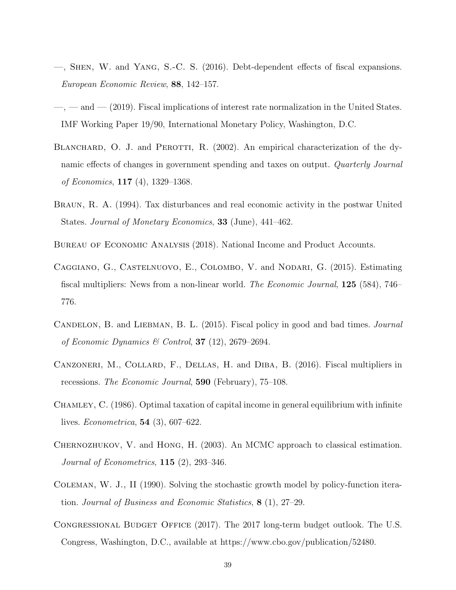- —, Shen, W. and Yang, S.-C. S. (2016). Debt-dependent effects of fiscal expansions. European Economic Review, 88, 142–157.
- $-$ ,  $-$  and  $-$  (2019). Fiscal implications of interest rate normalization in the United States. IMF Working Paper 19/90, International Monetary Policy, Washington, D.C.
- BLANCHARD, O. J. and PEROTTI, R. (2002). An empirical characterization of the dynamic effects of changes in government spending and taxes on output. Quarterly Journal of Economics, 117 (4), 1329–1368.
- Braun, R. A. (1994). Tax disturbances and real economic activity in the postwar United States. Journal of Monetary Economics, 33 (June), 441–462.
- Bureau of Economic Analysis (2018). National Income and Product Accounts.
- Caggiano, G., Castelnuovo, E., Colombo, V. and Nodari, G. (2015). Estimating fiscal multipliers: News from a non-linear world. The Economic Journal, 125 (584), 746– 776.
- CANDELON, B. and LIEBMAN, B. L. (2015). Fiscal policy in good and bad times. *Journal* of Economic Dynamics & Control, 37 (12), 2679–2694.
- CANZONERI, M., COLLARD, F., DELLAS, H. and DIBA, B. (2016). Fiscal multipliers in recessions. The Economic Journal, 590 (February), 75–108.
- Chamley, C. (1986). Optimal taxation of capital income in general equilibrium with infinite lives. Econometrica, 54 (3), 607–622.
- Chernozhukov, V. and Hong, H. (2003). An MCMC approach to classical estimation. Journal of Econometrics,  $115$  (2), 293-346.
- Coleman, W. J., II (1990). Solving the stochastic growth model by policy-function iteration. Journal of Business and Economic Statistics, 8 (1), 27–29.
- Congressional Budget Office (2017). The 2017 long-term budget outlook. The U.S. Congress, Washington, D.C., available at https://www.cbo.gov/publication/52480.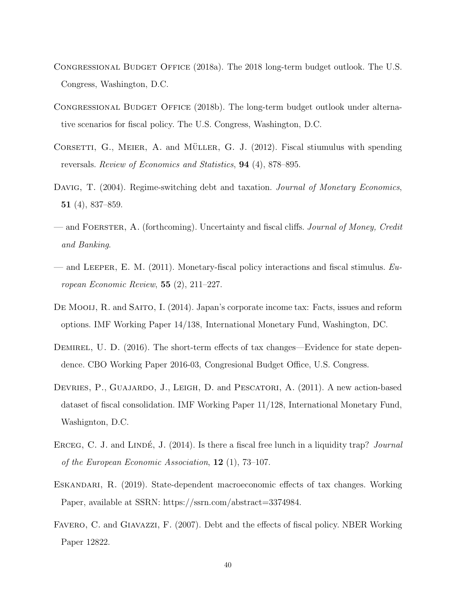- Congressional Budget Office (2018a). The 2018 long-term budget outlook. The U.S. Congress, Washington, D.C.
- Congressional Budget Office (2018b). The long-term budget outlook under alternative scenarios for fiscal policy. The U.S. Congress, Washington, D.C.
- CORSETTI, G., MEIER, A. and MÜLLER, G. J.  $(2012)$ . Fiscal stiumulus with spending reversals. Review of Economics and Statistics, 94 (4), 878–895.
- DAVIG, T. (2004). Regime-switching debt and taxation. Journal of Monetary Economics, 51 (4), 837–859.
- and FOERSTER, A. (forthcoming). Uncertainty and fiscal cliffs. Journal of Money, Credit and Banking.
- and LEEPER, E. M. (2011). Monetary-fiscal policy interactions and fiscal stimulus.  $Eu$ ropean Economic Review, 55 (2), 211–227.
- DE MOOIJ, R. and SAITO, I. (2014). Japan's corporate income tax: Facts, issues and reform options. IMF Working Paper 14/138, International Monetary Fund, Washington, DC.
- DEMIREL, U. D. (2016). The short-term effects of tax changes—Evidence for state dependence. CBO Working Paper 2016-03, Congresional Budget Office, U.S. Congress.
- DEVRIES, P., GUAJARDO, J., LEIGH, D. and PESCATORI, A. (2011). A new action-based dataset of fiscal consolidation. IMF Working Paper 11/128, International Monetary Fund, Washignton, D.C.
- ERCEG, C. J. and LINDÉ, J.  $(2014)$ . Is there a fiscal free lunch in a liquidity trap? *Journal* of the European Economic Association, 12 (1), 73–107.
- Eskandari, R. (2019). State-dependent macroeconomic effects of tax changes. Working Paper, available at SSRN: https://ssrn.com/abstract=3374984.
- FAVERO, C. and GIAVAZZI, F. (2007). Debt and the effects of fiscal policy. NBER Working Paper 12822.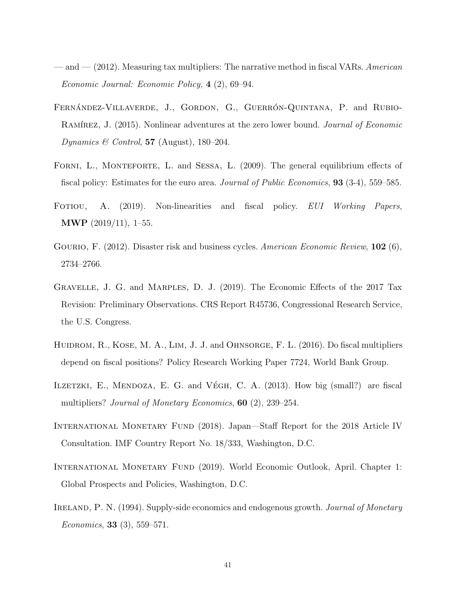- $-$  and  $-$  (2012). Measuring tax multipliers: The narrative method in fiscal VARs. American Economic Journal: Economic Policy, 4 (2), 69–94.
- FERNÁNDEZ-VILLAVERDE, J., GORDON, G., GUERRÓN-QUINTANA, P. and RUBIO-RAMÍREZ, J. (2015). Nonlinear adventures at the zero lower bound. Journal of Economic Dynamics & Control, 57 (August), 180–204.
- FORNI, L., MONTEFORTE, L. and SESSA, L. (2009). The general equilibrium effects of fiscal policy: Estimates for the euro area. Journal of Public Economics, **93** (3-4), 559–585.
- Fotiou, A. (2019). Non-linearities and fiscal policy. EUI Working Papers, MWP (2019/11), 1–55.
- GOURIO, F. (2012). Disaster risk and business cycles. American Economic Review, 102 (6), 2734–2766.
- Gravelle, J. G. and Marples, D. J. (2019). The Economic Effects of the 2017 Tax Revision: Preliminary Observations. CRS Report R45736, Congressional Research Service, the U.S. Congress.
- HUIDROM, R., KOSE, M. A., LIM, J. J. and OHNSORGE, F. L. (2016). Do fiscal multipliers depend on fiscal positions? Policy Research Working Paper 7724, World Bank Group.
- ILZETZKI, E., MENDOZA, E. G. and VÉGH, C. A.  $(2013)$ . How big (small?) are fiscal multipliers? *Journal of Monetary Economics*, **60** (2), 239–254.
- International Monetary Fund (2018). Japan—Staff Report for the 2018 Article IV Consultation. IMF Country Report No. 18/333, Washington, D.C.
- International Monetary Fund (2019). World Economic Outlook, April. Chapter 1: Global Prospects and Policies, Washington, D.C.
- IRELAND, P. N. (1994). Supply-side economics and endogenous growth. *Journal of Monetary* Economics, 33 (3), 559–571.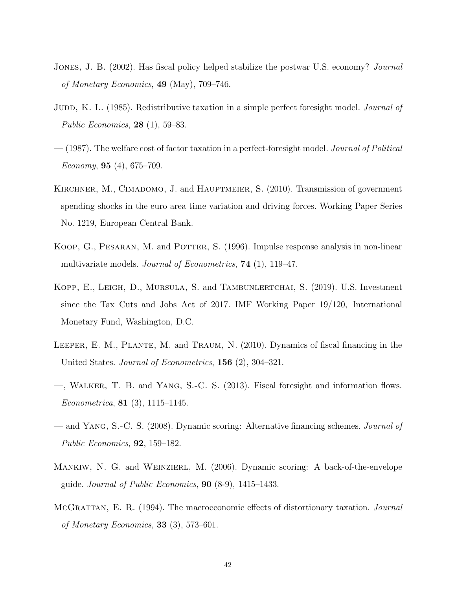- JONES, J. B. (2002). Has fiscal policy helped stabilize the postwar U.S. economy? *Journal* of Monetary Economics, 49 (May), 709–746.
- JUDD, K. L. (1985). Redistributive taxation in a simple perfect foresight model. *Journal of* Public Economics, 28 (1), 59–83.
- $-$  (1987). The welfare cost of factor taxation in a perfect-foresight model. *Journal of Political* Economy, **95** (4), 675–709.
- KIRCHNER, M., CIMADOMO, J. and HAUPTMEIER, S. (2010). Transmission of government spending shocks in the euro area time variation and driving forces. Working Paper Series No. 1219, European Central Bank.
- KOOP, G., PESARAN, M. and POTTER, S. (1996). Impulse response analysis in non-linear multivariate models. *Journal of Econometrics*, **74** (1), 119–47.
- Kopp, E., Leigh, D., Mursula, S. and Tambunlertchai, S. (2019). U.S. Investment since the Tax Cuts and Jobs Act of 2017. IMF Working Paper 19/120, International Monetary Fund, Washington, D.C.
- Leeper, E. M., Plante, M. and Traum, N. (2010). Dynamics of fiscal financing in the United States. Journal of Econometrics, 156 (2), 304–321.
- —, Walker, T. B. and Yang, S.-C. S. (2013). Fiscal foresight and information flows. Econometrica, 81 (3), 1115–1145.
- and Yang, S.-C. S. (2008). Dynamic scoring: Alternative financing schemes. Journal of Public Economics, 92, 159–182.
- MANKIW, N. G. and WEINZIERL, M. (2006). Dynamic scoring: A back-of-the-envelope guide. Journal of Public Economics,  $90$  (8-9), 1415–1433.
- McGrattan, E. R. (1994). The macroeconomic effects of distortionary taxation. Journal of Monetary Economics, 33  $(3)$ , 573–601.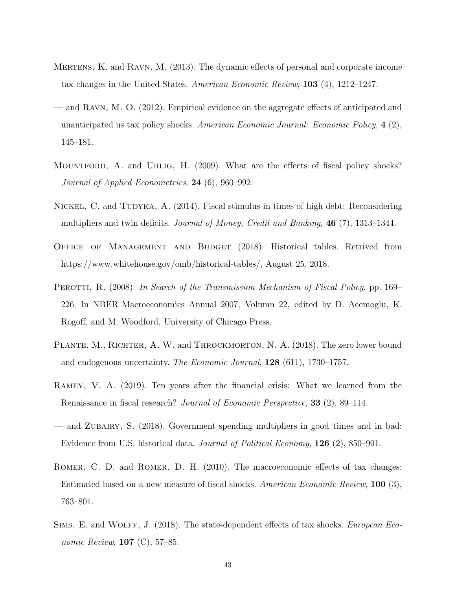- Mertens, K. and Ravn, M. (2013). The dynamic effects of personal and corporate income tax changes in the United States. American Economic Review, 103 (4), 1212–1247.
- and Ravn, M. O. (2012). Empirical evidence on the aggregate effects of anticipated and unanticipated us tax policy shocks. American Economic Journal: Economic Policy,  $4(2)$ , 145–181.
- MOUNTFORD, A. and UHLIG, H. (2009). What are the effects of fiscal policy shocks? Journal of Applied Econometrics, 24 (6), 960–992.
- NICKEL, C. and TUDYKA, A. (2014). Fiscal stimulus in times of high debt: Reconsidering multipliers and twin deficits. Journal of Money, Credit and Banking, 46 (7), 1313–1344.
- Office of Management and Budget (2018). Historical tables. Retrived from https://www.whitehouse.gov/omb/historical-tables/, August 25, 2018.
- PEROTTI, R. (2008). In Search of the Transmission Mechanism of Fiscal Policy, pp. 169– 226. In NBER Macroeconomics Annual 2007, Volumn 22, edited by D. Acemoglu, K. Rogoff, and M. Woodford, University of Chicago Press.
- PLANTE, M., RICHTER, A. W. and THROCKMORTON, N. A. (2018). The zero lower bound and endogenous uncertainty. The Economic Journal,  $128$  (611), 1730–1757.
- Ramey, V. A. (2019). Ten years after the financial crisis: What we learned from the Renaissance in fiscal research? Journal of Economic Perspective, 33 (2), 89–114.
- and Zubairy, S. (2018). Government spending multipliers in good times and in bad: Evidence from U.S. historical data. Journal of Political Economy, 126 (2), 850–901.
- ROMER, C. D. and ROMER, D. H. (2010). The macroeconomic effects of tax changes: Estimated based on a new measure of fiscal shocks. American Economic Review, 100 (3), 763–801.
- SIMS, E. and WOLFF, J. (2018). The state-dependent effects of tax shocks. European Economic Review, 107 (C), 57–85.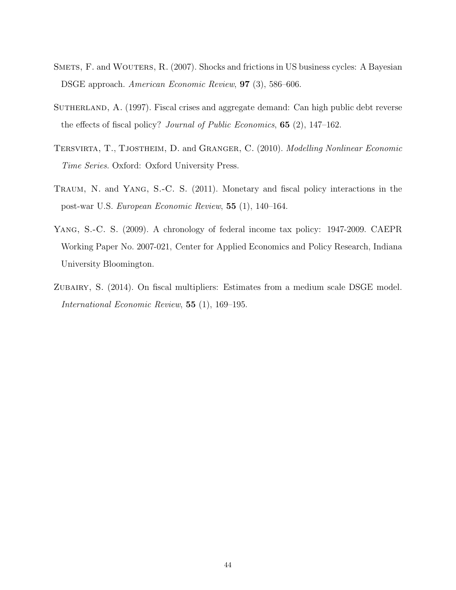- SMETS, F. and WOUTERS, R. (2007). Shocks and frictions in US business cycles: A Bayesian DSGE approach. American Economic Review, 97 (3), 586–606.
- SUTHERLAND, A. (1997). Fiscal crises and aggregate demand: Can high public debt reverse the effects of fiscal policy? Journal of Public Economics, 65 (2), 147–162.
- TERSVIRTA, T., TJOSTHEIM, D. and GRANGER, C. (2010). Modelling Nonlinear Economic Time Series. Oxford: Oxford University Press.
- Traum, N. and Yang, S.-C. S. (2011). Monetary and fiscal policy interactions in the post-war U.S. European Economic Review, 55 (1), 140–164.
- Yang, S.-C. S. (2009). A chronology of federal income tax policy: 1947-2009. CAEPR Working Paper No. 2007-021, Center for Applied Economics and Policy Research, Indiana University Bloomington.
- ZUBAIRY, S. (2014). On fiscal multipliers: Estimates from a medium scale DSGE model. International Economic Review, 55 (1), 169–195.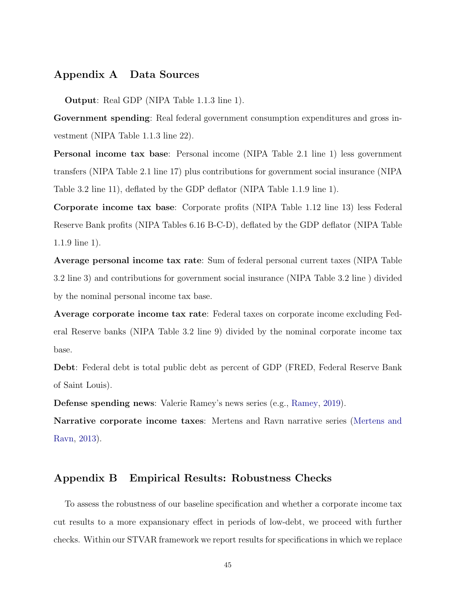# Appendix A Data Sources

Output: Real GDP (NIPA Table 1.1.3 line 1).

Government spending: Real federal government consumption expenditures and gross investment (NIPA Table 1.1.3 line 22).

Personal income tax base: Personal income (NIPA Table 2.1 line 1) less government transfers (NIPA Table 2.1 line 17) plus contributions for government social insurance (NIPA Table 3.2 line 11), deflated by the GDP deflator (NIPA Table 1.1.9 line 1).

Corporate income tax base: Corporate profits (NIPA Table 1.12 line 13) less Federal Reserve Bank profits (NIPA Tables 6.16 B-C-D), deflated by the GDP deflator (NIPA Table 1.1.9 line 1).

Average personal income tax rate: Sum of federal personal current taxes (NIPA Table 3.2 line 3) and contributions for government social insurance (NIPA Table 3.2 line ) divided by the nominal personal income tax base.

Average corporate income tax rate: Federal taxes on corporate income excluding Federal Reserve banks (NIPA Table 3.2 line 9) divided by the nominal corporate income tax base.

Debt: Federal debt is total public debt as percent of GDP (FRED, Federal Reserve Bank of Saint Louis).

Defense spending news: Valerie Ramey's news series (e.g., Ramey, 2019).

Narrative corporate income taxes: Mertens and Ravn narrative series (Mertens and Ravn, 2013).

# Appendix B Empirical Results: Robustness Checks

To assess the robustness of our baseline specification and whether a corporate income tax cut results to a more expansionary effect in periods of low-debt, we proceed with further checks. Within our STVAR framework we report results for specifications in which we replace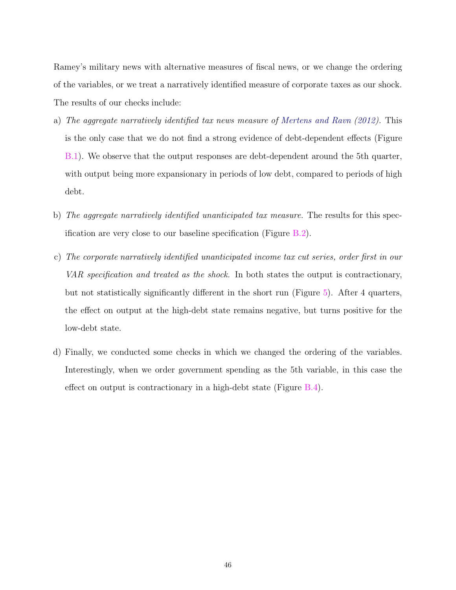Ramey's military news with alternative measures of fiscal news, or we change the ordering of the variables, or we treat a narratively identified measure of corporate taxes as our shock. The results of our checks include:

- a) The aggregate narratively identified tax news measure of Mertens and Ravn (2012). This is the only case that we do not find a strong evidence of debt-dependent effects (Figure B.1). We observe that the output responses are debt-dependent around the 5th quarter, with output being more expansionary in periods of low debt, compared to periods of high debt.
- b) The aggregate narratively identified unanticipated tax measure. The results for this specification are very close to our baseline specification (Figure B.2).
- c) The corporate narratively identified unanticipated income tax cut series, order first in our VAR specification and treated as the shock. In both states the output is contractionary, but not statistically significantly different in the short run (Figure 5). After 4 quarters, the effect on output at the high-debt state remains negative, but turns positive for the low-debt state.
- d) Finally, we conducted some checks in which we changed the ordering of the variables. Interestingly, when we order government spending as the 5th variable, in this case the effect on output is contractionary in a high-debt state (Figure B.4).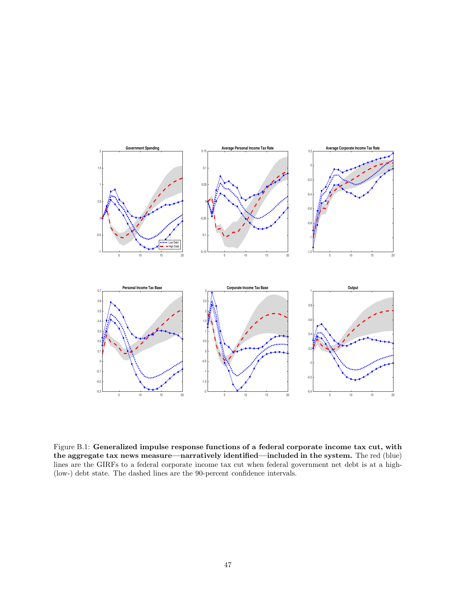

Figure B.1: Generalized impulse response functions of a federal corporate income tax cut, with the aggregate tax news measure—narratively identified—included in the system. The red (blue) lines are the GIRFs to a federal corporate income tax cut when federal government net debt is at a high- (low-) debt state. The dashed lines are the 90-percent confidence intervals.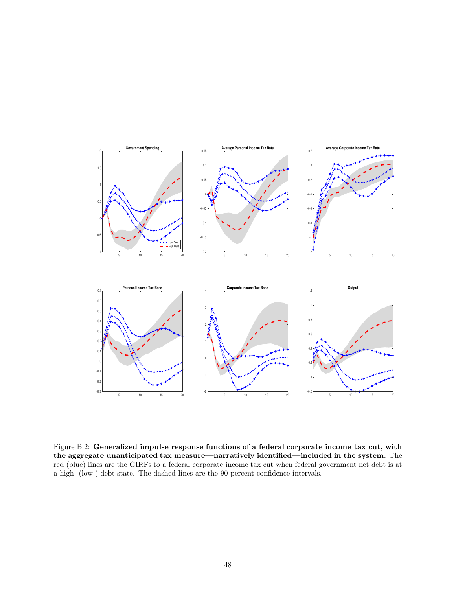

Figure B.2: Generalized impulse response functions of a federal corporate income tax cut, with the aggregate unanticipated tax measure—narratively identified—included in the system. The red (blue) lines are the GIRFs to a federal corporate income tax cut when federal government net debt is at a high- (low-) debt state. The dashed lines are the 90-percent confidence intervals.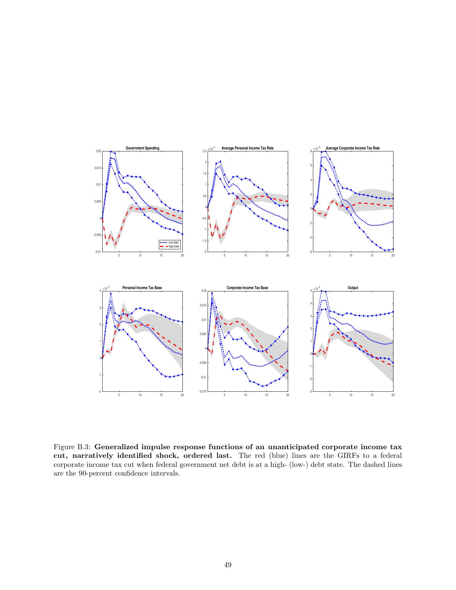

Figure B.3: Generalized impulse response functions of an unanticipated corporate income tax cut, narratively identified shock, ordered last. The red (blue) lines are the GIRFs to a federal corporate income tax cut when federal government net debt is at a high- (low-) debt state. The dashed lines are the 90-percent confidence intervals.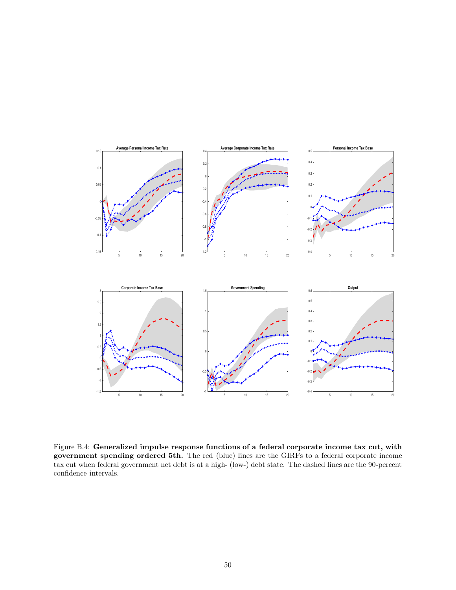

Figure B.4: Generalized impulse response functions of a federal corporate income tax cut, with government spending ordered 5th. The red (blue) lines are the GIRFs to a federal corporate income tax cut when federal government net debt is at a high- (low-) debt state. The dashed lines are the 90-percent confidence intervals.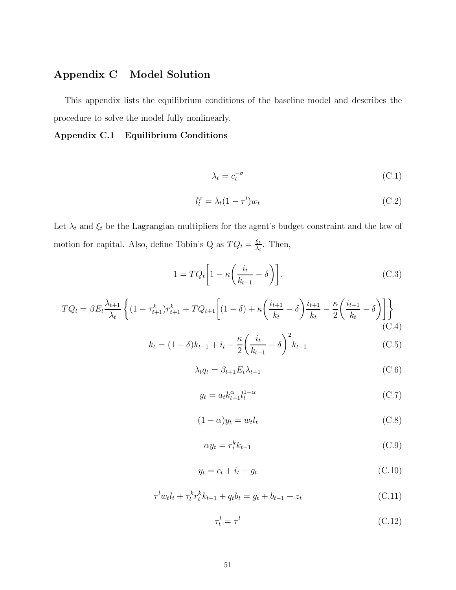# Appendix C Model Solution

This appendix lists the equilibrium conditions of the baseline model and describes the procedure to solve the model fully nonlinearly.

## Appendix C.1 Equilibrium Conditions

$$
\lambda_t = c_t^{-\sigma} \tag{C.1}
$$

$$
l_t^{\varphi} = \lambda_t (1 - \tau^l) w_t \tag{C.2}
$$

Let  $\lambda_t$  and  $\xi_t$  be the Lagrangian multipliers for the agent's budget constraint and the law of motion for capital. Also, define Tobin's Q as  $T Q_t = \frac{\xi_t}{\lambda_t}$  $\frac{\xi_t}{\lambda_t}$ . Then,

$$
1 = TQ_t \left[ 1 - \kappa \left( \frac{i_t}{k_{t-1}} - \delta \right) \right]. \tag{C.3}
$$

$$
TQ_t = \beta E_t \frac{\lambda_{t+1}}{\lambda_t} \left\{ (1 - \tau_{t+1}^k) r_{t+1}^k + TQ_{t+1} \left[ (1 - \delta) + \kappa \left( \frac{i_{t+1}}{k_t} - \delta \right) \frac{i_{t+1}}{k_t} - \frac{\kappa}{2} \left( \frac{i_{t+1}}{k_t} - \delta \right) \right] \right\}
$$
(C.4)

$$
k_t = (1 - \delta)k_{t-1} + i_t - \frac{\kappa}{2} \left(\frac{i_t}{k_{t-1}} - \delta\right)^2 k_{t-1}
$$
 (C.5)

$$
\lambda_t q_t = \beta_{t+1} E_t \lambda_{t+1} \tag{C.6}
$$

$$
y_t = a_t k_{t-1}^{\alpha} l_t^{1-\alpha} \tag{C.7}
$$

$$
(1 - \alpha)y_t = w_t l_t \tag{C.8}
$$

$$
\alpha y_t = r_t^k k_{t-1} \tag{C.9}
$$

$$
y_t = c_t + i_t + g_t \tag{C.10}
$$

$$
\tau^l w_t l_t + \tau^k_t r^k_t k_{t-1} + q_t b_t = g_t + b_{t-1} + z_t \tag{C.11}
$$

$$
\tau_t^l = \tau^l \tag{C.12}
$$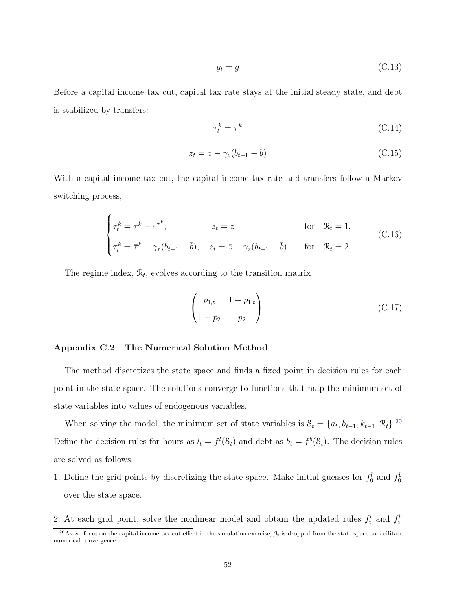$$
g_t = g \tag{C.13}
$$

Before a capital income tax cut, capital tax rate stays at the initial steady state, and debt is stabilized by transfers:

$$
\tau_t^k = \tau^k \tag{C.14}
$$

$$
z_t = z - \gamma_z (b_{t-1} - b) \tag{C.15}
$$

With a capital income tax cut, the capital income tax rate and transfers follow a Markov switching process,

$$
\begin{cases}\n\tau_t^k = \tau^k - \varepsilon^{\tau^k}, & z_t = z \quad \text{for} \quad \mathcal{R}_t = 1, \\
\tau_t^k = \bar{\tau}^k + \gamma_\tau (b_{t-1} - \bar{b}), & z_t = \bar{z} - \gamma_z (b_{t-1} - \bar{b}) \quad \text{for} \quad \mathcal{R}_t = 2.\n\end{cases}
$$
\n(C.16)

The regime index,  $\mathcal{R}_t$ , evolves according to the transition matrix

$$
\begin{pmatrix} p_{1,t} & 1 - p_{1,t} \\ 1 - p_2 & p_2 \end{pmatrix}.
$$
 (C.17)

#### Appendix C.2 The Numerical Solution Method

The method discretizes the state space and finds a fixed point in decision rules for each point in the state space. The solutions converge to functions that map the minimum set of state variables into values of endogenous variables.

When solving the model, the minimum set of state variables is  $S_t = \{a_t, b_{t-1}, k_{t-1}, \mathcal{R}_t\}$ <sup>20</sup> Define the decision rules for hours as  $l_t = f^l(\mathcal{S}_t)$  and debt as  $b_t = f^b(\mathcal{S}_t)$ . The decision rules are solved as follows.

1. Define the grid points by discretizing the state space. Make initial guesses for  $f_0^l$  and  $f_0^b$ over the state space.

2. At each grid point, solve the nonlinear model and obtain the updated rules  $f_i^l$  and  $f_i^b$ 

<sup>&</sup>lt;sup>20</sup>As we focus on the capital income tax cut effect in the simulation exercise,  $\beta_t$  is dropped from the state space to facilitate numerical convergence.